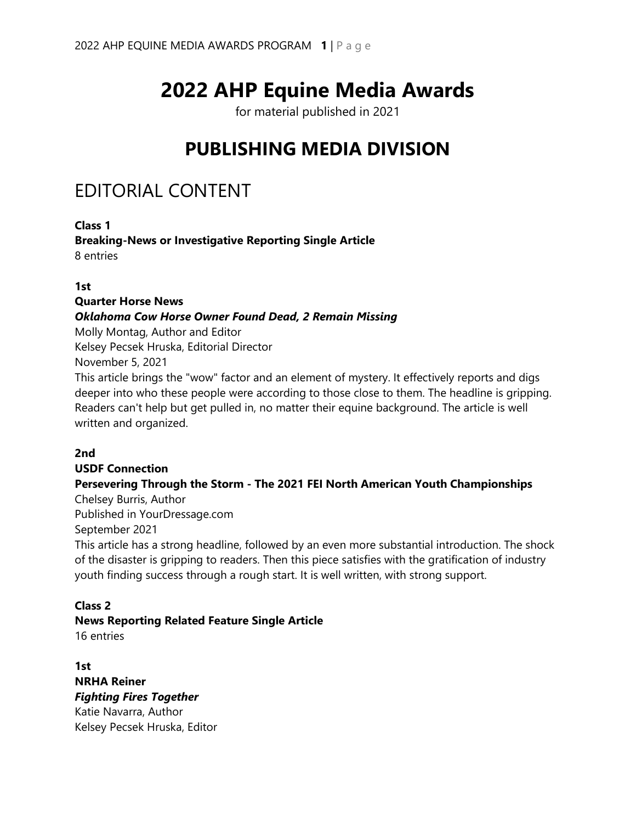# **2022 AHP Equine Media Awards**

for material published in 2021

# **PUBLISHING MEDIA DIVISION**

# EDITORIAL CONTENT

**Class 1 Breaking-News or Investigative Reporting Single Article** 8 entries

#### **1st**

#### **Quarter Horse News**

#### *Oklahoma Cow Horse Owner Found Dead, 2 Remain Missing*

Molly Montag, Author and Editor Kelsey Pecsek Hruska, Editorial Director November 5, 2021

This article brings the "wow" factor and an element of mystery. It effectively reports and digs deeper into who these people were according to those close to them. The headline is gripping. Readers can't help but get pulled in, no matter their equine background. The article is well written and organized.

#### **2nd**

# **USDF Connection Persevering Through the Storm - The 2021 FEI North American Youth Championships**

Chelsey Burris, Author Published in YourDressage.com

September 2021

This article has a strong headline, followed by an even more substantial introduction. The shock of the disaster is gripping to readers. Then this piece satisfies with the gratification of industry youth finding success through a rough start. It is well written, with strong support.

#### **Class 2**

#### **News Reporting Related Feature Single Article**

16 entries

**1st NRHA Reiner** *Fighting Fires Together* Katie Navarra, Author Kelsey Pecsek Hruska, Editor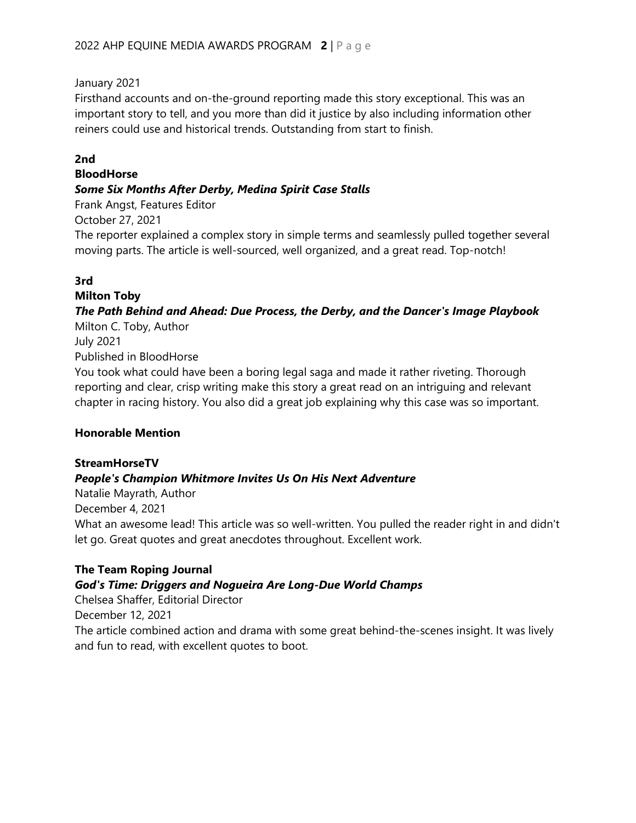January 2021

Firsthand accounts and on-the-ground reporting made this story exceptional. This was an important story to tell, and you more than did it justice by also including information other reiners could use and historical trends. Outstanding from start to finish.

#### **2nd**

#### **BloodHorse**

#### *Some Six Months After Derby, Medina Spirit Case Stalls*

Frank Angst, Features Editor

October 27, 2021

The reporter explained a complex story in simple terms and seamlessly pulled together several moving parts. The article is well-sourced, well organized, and a great read. Top-notch!

### **3rd**

**Milton Toby** *The Path Behind and Ahead: Due Process, the Derby, and the Dancer's Image Playbook*

Milton C. Toby, Author July 2021 Published in BloodHorse You took what could have been a boring legal saga and made it rather riveting. Thorough reporting and clear, crisp writing make this story a great read on an intriguing and relevant chapter in racing history. You also did a great job explaining why this case was so important.

#### **Honorable Mention**

#### **StreamHorseTV**

#### *People's Champion Whitmore Invites Us On His Next Adventure*

Natalie Mayrath, Author December 4, 2021 What an awesome lead! This article was so well-written. You pulled the reader right in and didn't let go. Great quotes and great anecdotes throughout. Excellent work.

#### **The Team Roping Journal**

#### *God's Time: Driggers and Nogueira Are Long-Due World Champs*

Chelsea Shaffer, Editorial Director

December 12, 2021

The article combined action and drama with some great behind-the-scenes insight. It was lively and fun to read, with excellent quotes to boot.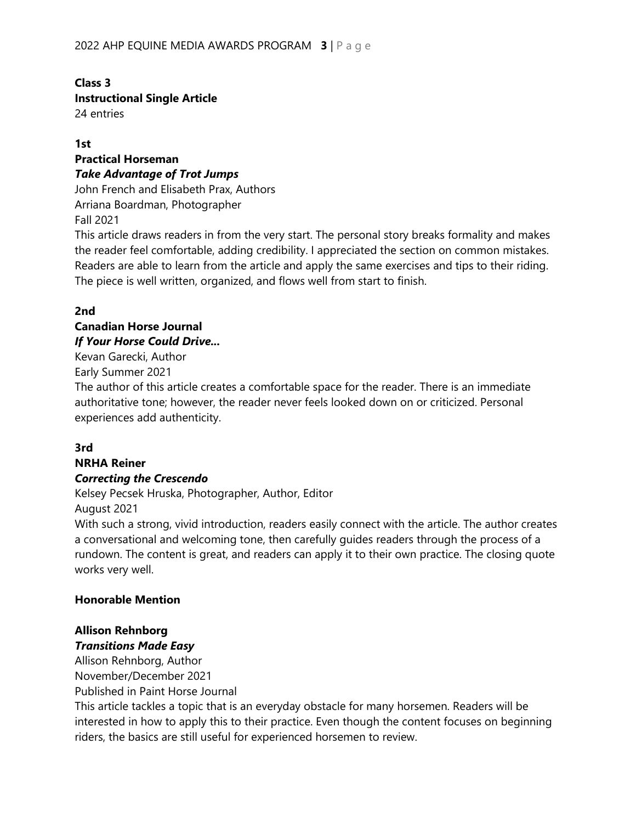# **Class 3 Instructional Single Article**

24 entries

#### **1st**

# **Practical Horseman** *Take Advantage of Trot Jumps*

John French and Elisabeth Prax, Authors Arriana Boardman, Photographer Fall 2021

This article draws readers in from the very start. The personal story breaks formality and makes the reader feel comfortable, adding credibility. I appreciated the section on common mistakes. Readers are able to learn from the article and apply the same exercises and tips to their riding. The piece is well written, organized, and flows well from start to finish.

#### **2nd**

#### **Canadian Horse Journal** *If Your Horse Could Drive...*

Kevan Garecki, Author

Early Summer 2021

The author of this article creates a comfortable space for the reader. There is an immediate authoritative tone; however, the reader never feels looked down on or criticized. Personal experiences add authenticity.

# **3rd**

#### **NRHA Reiner** *Correcting the Crescendo*

Kelsey Pecsek Hruska, Photographer, Author, Editor August 2021

With such a strong, vivid introduction, readers easily connect with the article. The author creates a conversational and welcoming tone, then carefully guides readers through the process of a rundown. The content is great, and readers can apply it to their own practice. The closing quote works very well.

#### **Honorable Mention**

# **Allison Rehnborg**

# *Transitions Made Easy*

Allison Rehnborg, Author November/December 2021

Published in Paint Horse Journal

This article tackles a topic that is an everyday obstacle for many horsemen. Readers will be interested in how to apply this to their practice. Even though the content focuses on beginning riders, the basics are still useful for experienced horsemen to review.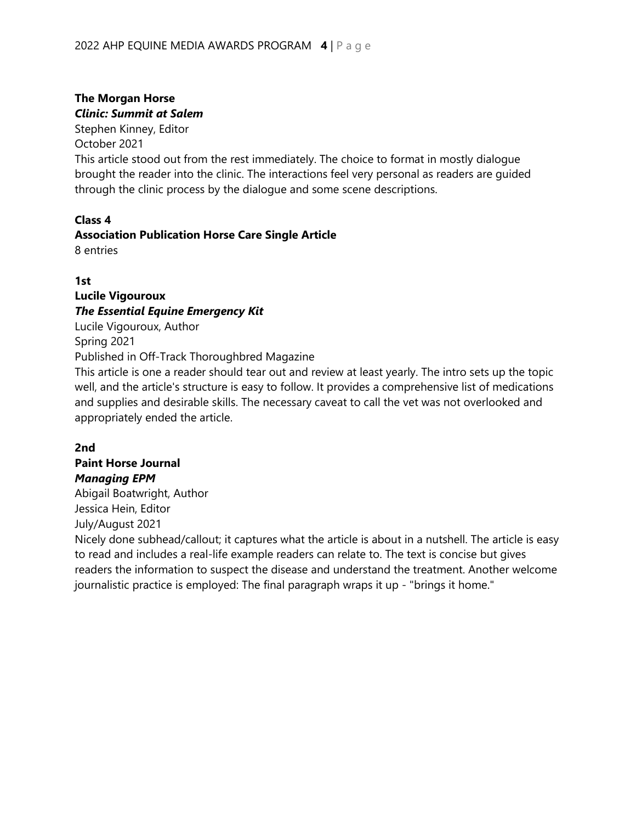# **The Morgan Horse** *Clinic: Summit at Salem*

Stephen Kinney, Editor

October 2021

This article stood out from the rest immediately. The choice to format in mostly dialogue brought the reader into the clinic. The interactions feel very personal as readers are guided through the clinic process by the dialogue and some scene descriptions.

#### **Class 4**

# **Association Publication Horse Care Single Article**

8 entries

### **1st**

# **Lucile Vigouroux** *The Essential Equine Emergency Kit*

Lucile Vigouroux, Author Spring 2021

Published in Off-Track Thoroughbred Magazine

This article is one a reader should tear out and review at least yearly. The intro sets up the topic well, and the article's structure is easy to follow. It provides a comprehensive list of medications and supplies and desirable skills. The necessary caveat to call the vet was not overlooked and appropriately ended the article.

# **2nd**

# **Paint Horse Journal**

*Managing EPM* Abigail Boatwright, Author

Jessica Hein, Editor

July/August 2021

Nicely done subhead/callout; it captures what the article is about in a nutshell. The article is easy to read and includes a real-life example readers can relate to. The text is concise but gives readers the information to suspect the disease and understand the treatment. Another welcome journalistic practice is employed: The final paragraph wraps it up - "brings it home."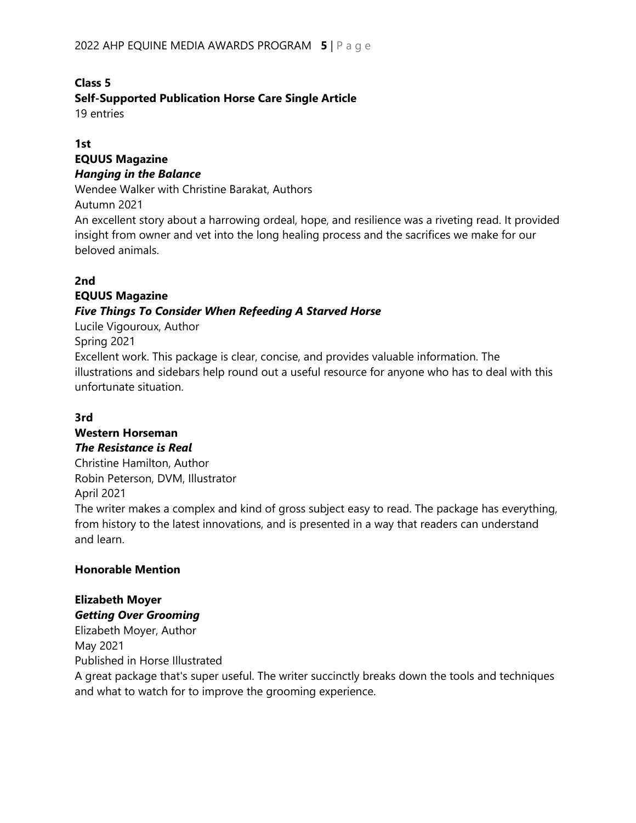#### **Class 5**

### **Self-Supported Publication Horse Care Single Article**

19 entries

#### **1st**

#### **EQUUS Magazine**  *Hanging in the Balance*

Wendee Walker with Christine Barakat, Authors

Autumn 2021

An excellent story about a harrowing ordeal, hope, and resilience was a riveting read. It provided insight from owner and vet into the long healing process and the sacrifices we make for our beloved animals.

### **2nd**

# **EQUUS Magazine**  *Five Things To Consider When Refeeding A Starved Horse*

Lucile Vigouroux, Author

Spring 2021

Excellent work. This package is clear, concise, and provides valuable information. The illustrations and sidebars help round out a useful resource for anyone who has to deal with this unfortunate situation.

#### **3rd**

# **Western Horseman**

*The Resistance is Real*

Christine Hamilton, Author Robin Peterson, DVM, Illustrator

# April 2021

The writer makes a complex and kind of gross subject easy to read. The package has everything, from history to the latest innovations, and is presented in a way that readers can understand and learn.

#### **Honorable Mention**

# **Elizabeth Moyer**

*Getting Over Grooming* Elizabeth Moyer, Author May 2021 Published in Horse Illustrated

A great package that's super useful. The writer succinctly breaks down the tools and techniques and what to watch for to improve the grooming experience.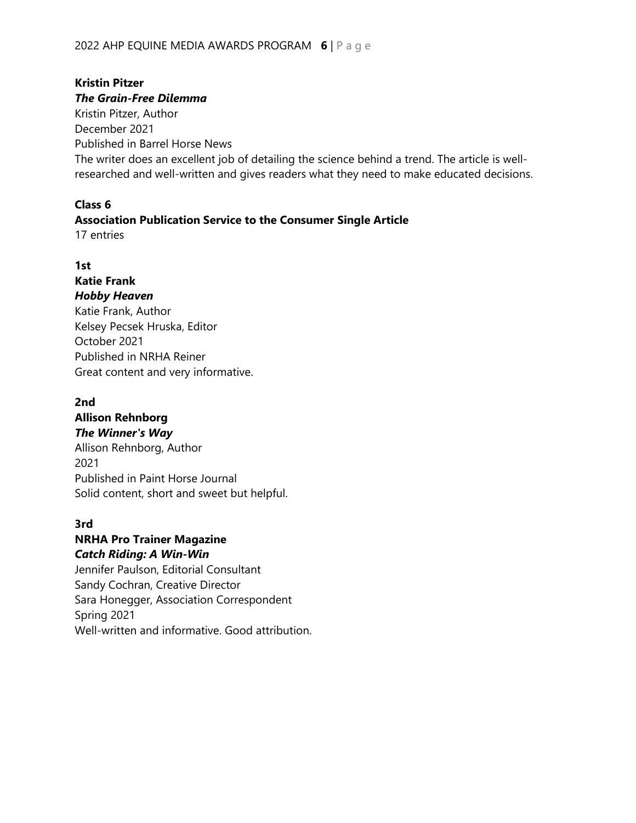#### **Kristin Pitzer** *The Grain-Free Dilemma*

Kristin Pitzer, Author December 2021 Published in Barrel Horse News The writer does an excellent job of detailing the science behind a trend. The article is wellresearched and well-written and gives readers what they need to make educated decisions.

# **Class 6**

### **Association Publication Service to the Consumer Single Article**

17 entries

# **1st**

#### **Katie Frank** *Hobby Heaven* Katie Frank, Author

Kelsey Pecsek Hruska, Editor October 2021 Published in NRHA Reiner Great content and very informative.

# **2nd**

# **Allison Rehnborg** *The Winner's Way* Allison Rehnborg, Author 2021 Published in Paint Horse Journal Solid content, short and sweet but helpful.

#### **3rd**

# **NRHA Pro Trainer Magazine** *Catch Riding: A Win-Win*

Jennifer Paulson, Editorial Consultant Sandy Cochran, Creative Director Sara Honegger, Association Correspondent Spring 2021 Well-written and informative. Good attribution.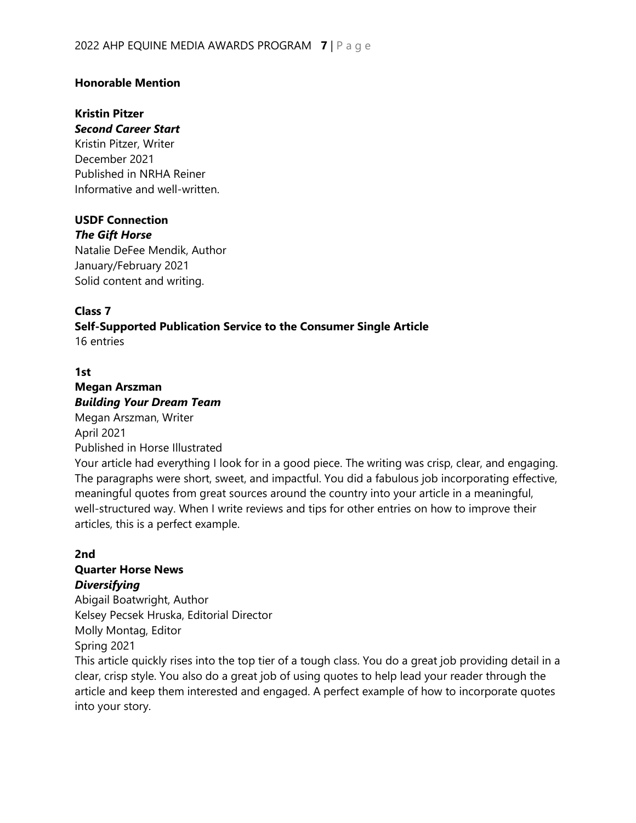#### **Honorable Mention**

# **Kristin Pitzer**

*Second Career Start*

Kristin Pitzer, Writer December 2021 Published in NRHA Reiner Informative and well-written.

#### **USDF Connection**

*The Gift Horse* Natalie DeFee Mendik, Author January/February 2021 Solid content and writing.

### **Class 7**

**Self-Supported Publication Service to the Consumer Single Article** 16 entries

#### **1st**

#### **Megan Arszman** *Building Your Dream Team* Megan Arszman, Writer April 2021

Published in Horse Illustrated

Your article had everything I look for in a good piece. The writing was crisp, clear, and engaging. The paragraphs were short, sweet, and impactful. You did a fabulous job incorporating effective, meaningful quotes from great sources around the country into your article in a meaningful, well-structured way. When I write reviews and tips for other entries on how to improve their articles, this is a perfect example.

# **2nd**

# **Quarter Horse News**

#### *Diversifying*

Abigail Boatwright, Author Kelsey Pecsek Hruska, Editorial Director Molly Montag, Editor Spring 2021

This article quickly rises into the top tier of a tough class. You do a great job providing detail in a clear, crisp style. You also do a great job of using quotes to help lead your reader through the article and keep them interested and engaged. A perfect example of how to incorporate quotes into your story.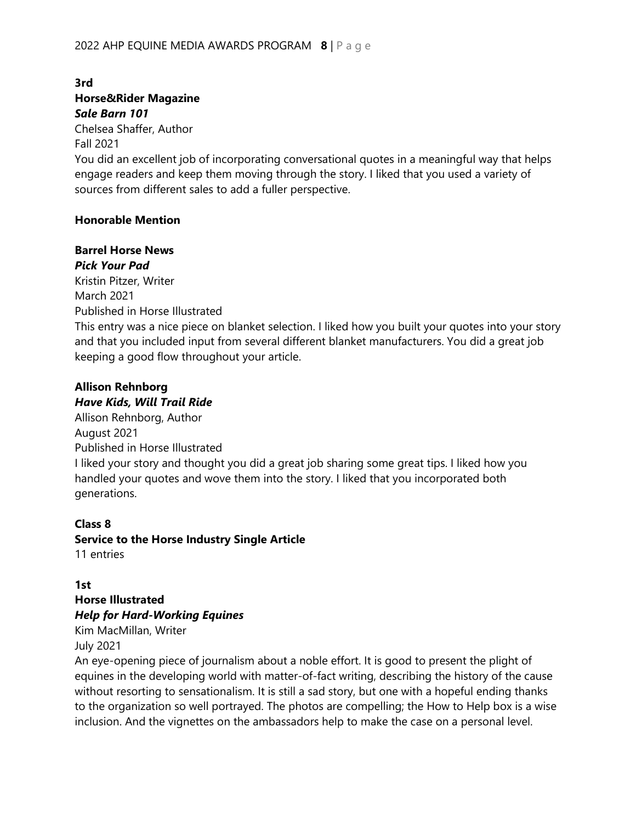#### **3rd Horse&Rider Magazine** *Sale Barn 101*

Chelsea Shaffer, Author

Fall 2021

You did an excellent job of incorporating conversational quotes in a meaningful way that helps engage readers and keep them moving through the story. I liked that you used a variety of sources from different sales to add a fuller perspective.

#### **Honorable Mention**

#### **Barrel Horse News**

#### *Pick Your Pad*

Kristin Pitzer, Writer March 2021 Published in Horse Illustrated

This entry was a nice piece on blanket selection. I liked how you built your quotes into your story and that you included input from several different blanket manufacturers. You did a great job keeping a good flow throughout your article.

#### **Allison Rehnborg** *Have Kids, Will Trail Ride*

Allison Rehnborg, Author August 2021 Published in Horse Illustrated I liked your story and thought you did a great job sharing some great tips. I liked how you handled your quotes and wove them into the story. I liked that you incorporated both generations.

#### **Class 8 Service to the Horse Industry Single Article** 11 entries

#### **1st**

# **Horse Illustrated**

#### *Help for Hard-Working Equines*

Kim MacMillan, Writer

July 2021

An eye-opening piece of journalism about a noble effort. It is good to present the plight of equines in the developing world with matter-of-fact writing, describing the history of the cause without resorting to sensationalism. It is still a sad story, but one with a hopeful ending thanks to the organization so well portrayed. The photos are compelling; the How to Help box is a wise inclusion. And the vignettes on the ambassadors help to make the case on a personal level.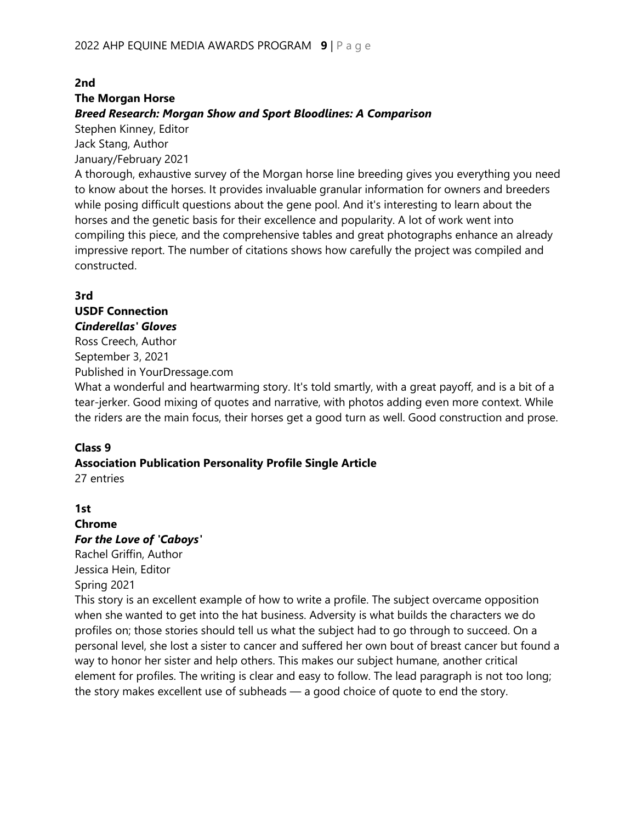# **2nd**

#### **The Morgan Horse**

#### *Breed Research: Morgan Show and Sport Bloodlines: A Comparison*

Stephen Kinney, Editor

Jack Stang, Author January/February 2021

A thorough, exhaustive survey of the Morgan horse line breeding gives you everything you need to know about the horses. It provides invaluable granular information for owners and breeders while posing difficult questions about the gene pool. And it's interesting to learn about the horses and the genetic basis for their excellence and popularity. A lot of work went into compiling this piece, and the comprehensive tables and great photographs enhance an already impressive report. The number of citations shows how carefully the project was compiled and constructed.

#### **3rd**

#### **USDF Connection** *Cinderellas' Gloves*

Ross Creech, Author September 3, 2021 Published in YourDressage.com

What a wonderful and heartwarming story. It's told smartly, with a great payoff, and is a bit of a tear-jerker. Good mixing of quotes and narrative, with photos adding even more context. While the riders are the main focus, their horses get a good turn as well. Good construction and prose.

#### **Class 9**

#### **Association Publication Personality Profile Single Article** 27 entries

#### **1st**

#### **Chrome** *For the Love of 'Caboys'*

Rachel Griffin, Author Jessica Hein, Editor Spring 2021

This story is an excellent example of how to write a profile. The subject overcame opposition when she wanted to get into the hat business. Adversity is what builds the characters we do profiles on; those stories should tell us what the subject had to go through to succeed. On a personal level, she lost a sister to cancer and suffered her own bout of breast cancer but found a way to honor her sister and help others. This makes our subject humane, another critical element for profiles. The writing is clear and easy to follow. The lead paragraph is not too long; the story makes excellent use of subheads — a good choice of quote to end the story.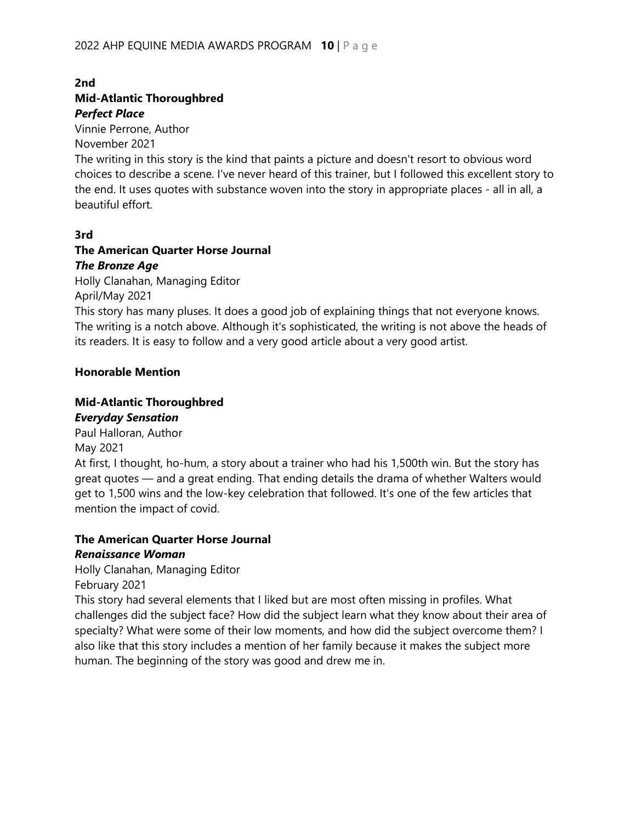#### **2nd Mid-Atlantic Thoroughbred** *Perfect Place*

Vinnie Perrone, Author

November 2021

The writing in this story is the kind that paints a picture and doesn't resort to obvious word choices to describe a scene. I've never heard of this trainer, but I followed this excellent story to the end. It uses quotes with substance woven into the story in appropriate places - all in all, a beautiful effort.

#### **3rd**

#### **The American Quarter Horse Journal** *The Bronze Age*

Holly Clanahan, Managing Editor

April/May 2021

This story has many pluses. It does a good job of explaining things that not everyone knows. The writing is a notch above. Although it's sophisticated, the writing is not above the heads of its readers. It is easy to follow and a very good article about a very good artist.

#### **Honorable Mention**

# **Mid-Atlantic Thoroughbred**

#### *Everyday Sensation*

Paul Halloran, Author May 2021 At first, I thought, ho-hum, a story about a trainer who had his 1,500th win. But the story has great quotes — and a great ending. That ending details the drama of whether Walters would get to 1,500 wins and the low-key celebration that followed. It's one of the few articles that mention the impact of covid.

#### **The American Quarter Horse Journal**

#### *Renaissance Woman*

Holly Clanahan, Managing Editor

February 2021

This story had several elements that I liked but are most often missing in profiles. What challenges did the subject face? How did the subject learn what they know about their area of specialty? What were some of their low moments, and how did the subject overcome them? I also like that this story includes a mention of her family because it makes the subject more human. The beginning of the story was good and drew me in.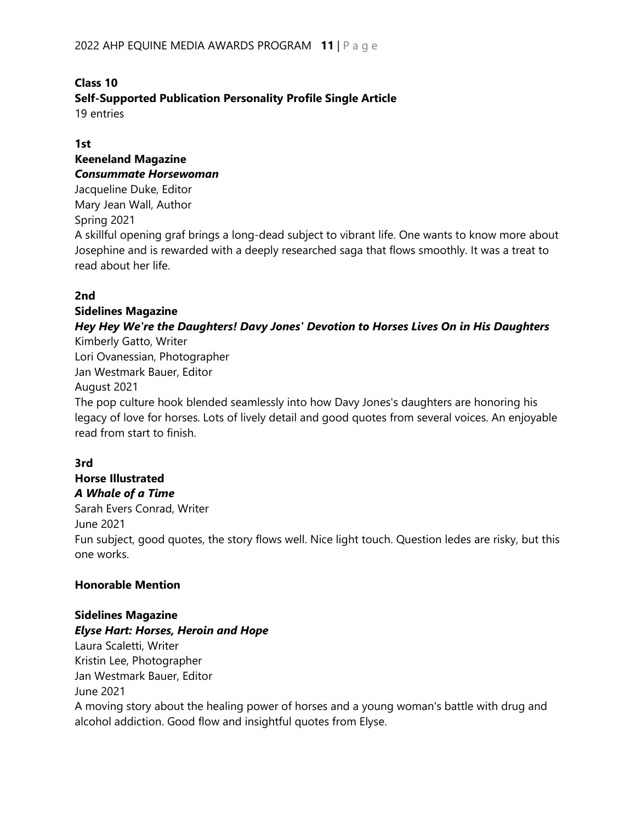# **Class 10 Self-Supported Publication Personality Profile Single Article**

19 entries

#### **1st**

#### **Keeneland Magazine** *Consummate Horsewoman*

Jacqueline Duke, Editor Mary Jean Wall, Author Spring 2021 A skillful opening graf brings a long-dead subject to vibrant life. One wants to know more about Josephine and is rewarded with a deeply researched saga that flows smoothly. It was a treat to read about her life.

#### **2nd**

#### **Sidelines Magazine**

#### *Hey Hey We're the Daughters! Davy Jones' Devotion to Horses Lives On in His Daughters* Kimberly Gatto, Writer

Lori Ovanessian, Photographer Jan Westmark Bauer, Editor August 2021

The pop culture hook blended seamlessly into how Davy Jones's daughters are honoring his legacy of love for horses. Lots of lively detail and good quotes from several voices. An enjoyable read from start to finish.

#### **3rd**

# **Horse Illustrated**

#### *A Whale of a Time*

Sarah Evers Conrad, Writer

June 2021

Fun subject, good quotes, the story flows well. Nice light touch. Question ledes are risky, but this one works.

#### **Honorable Mention**

#### **Sidelines Magazine** *Elyse Hart: Horses, Heroin and Hope*

Laura Scaletti, Writer Kristin Lee, Photographer Jan Westmark Bauer, Editor June 2021

A moving story about the healing power of horses and a young woman's battle with drug and alcohol addiction. Good flow and insightful quotes from Elyse.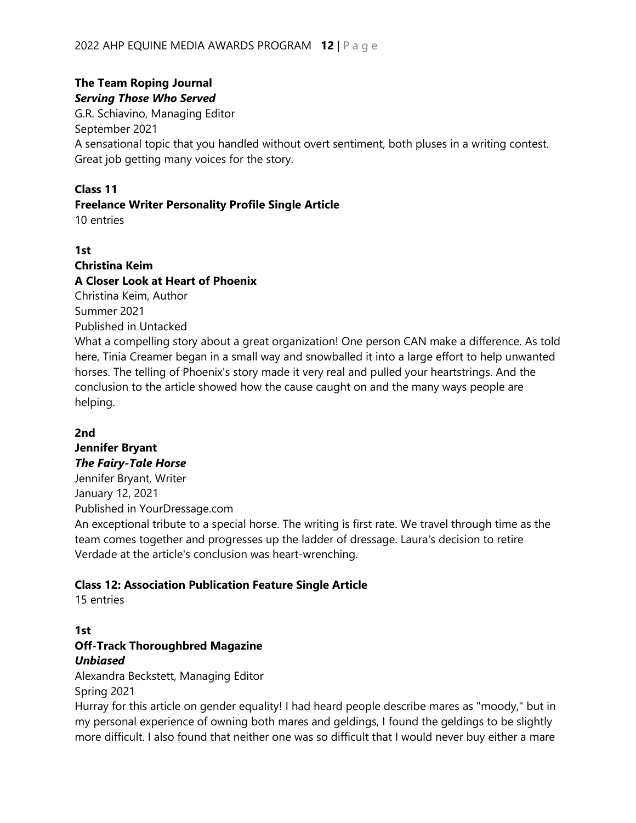### **The Team Roping Journal** *Serving Those Who Served*

G.R. Schiavino, Managing Editor September 2021 A sensational topic that you handled without overt sentiment, both pluses in a writing contest. Great job getting many voices for the story.

#### **Class 11**

#### **Freelance Writer Personality Profile Single Article**

10 entries

#### **1st**

#### **Christina Keim A Closer Look at Heart of Phoenix**

Christina Keim, Author

Summer 2021

Published in Untacked

What a compelling story about a great organization! One person CAN make a difference. As told here, Tinia Creamer began in a small way and snowballed it into a large effort to help unwanted horses. The telling of Phoenix's story made it very real and pulled your heartstrings. And the conclusion to the article showed how the cause caught on and the many ways people are helping.

#### **2nd**

#### **Jennifer Bryant** *The Fairy-Tale Horse*

Jennifer Bryant, Writer January 12, 2021 Published in YourDressage.com

An exceptional tribute to a special horse. The writing is first rate. We travel through time as the team comes together and progresses up the ladder of dressage. Laura's decision to retire Verdade at the article's conclusion was heart-wrenching.

#### **Class 12: Association Publication Feature Single Article**

15 entries

### **1st Off-Track Thoroughbred Magazine** *Unbiased*

Alexandra Beckstett, Managing Editor Spring 2021

Hurray for this article on gender equality! I had heard people describe mares as "moody," but in my personal experience of owning both mares and geldings, I found the geldings to be slightly more difficult. I also found that neither one was so difficult that I would never buy either a mare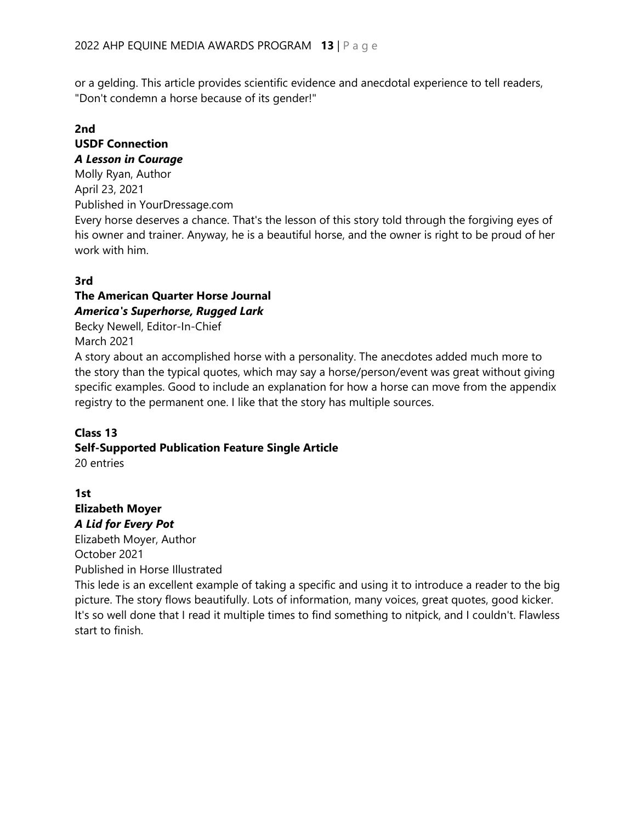or a gelding. This article provides scientific evidence and anecdotal experience to tell readers, "Don't condemn a horse because of its gender!"

#### **2nd USDF Connection** *A Lesson in Courage*

work with him.

Molly Ryan, Author April 23, 2021 Published in YourDressage.com Every horse deserves a chance. That's the lesson of this story told through the forgiving eyes of his owner and trainer. Anyway, he is a beautiful horse, and the owner is right to be proud of her

### **3rd**

### **The American Quarter Horse Journal** *America's Superhorse, Rugged Lark*

Becky Newell, Editor-In-Chief March 2021

A story about an accomplished horse with a personality. The anecdotes added much more to the story than the typical quotes, which may say a horse/person/event was great without giving specific examples. Good to include an explanation for how a horse can move from the appendix registry to the permanent one. I like that the story has multiple sources.

#### **Class 13**

# **Self-Supported Publication Feature Single Article**

20 entries

**1st Elizabeth Moyer** *A Lid for Every Pot* Elizabeth Moyer, Author October 2021

Published in Horse Illustrated

This lede is an excellent example of taking a specific and using it to introduce a reader to the big picture. The story flows beautifully. Lots of information, many voices, great quotes, good kicker. It's so well done that I read it multiple times to find something to nitpick, and I couldn't. Flawless start to finish.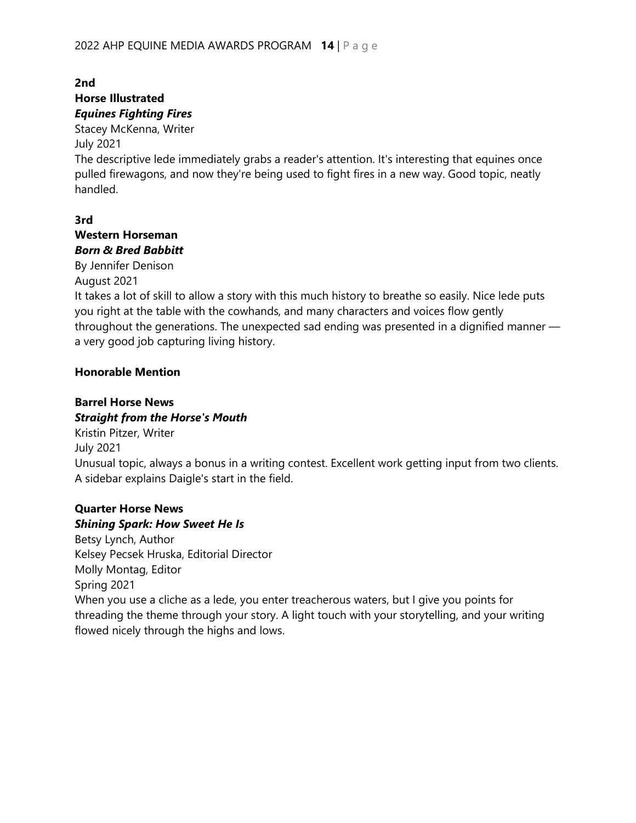#### **2nd Horse Illustrated** *Equines Fighting Fires*

Stacey McKenna, Writer

July 2021

The descriptive lede immediately grabs a reader's attention. It's interesting that equines once pulled firewagons, and now they're being used to fight fires in a new way. Good topic, neatly handled.

# **3rd**

#### **Western Horseman** *Born & Bred Babbitt*

By Jennifer Denison August 2021

It takes a lot of skill to allow a story with this much history to breathe so easily. Nice lede puts you right at the table with the cowhands, and many characters and voices flow gently throughout the generations. The unexpected sad ending was presented in a dignified manner a very good job capturing living history.

#### **Honorable Mention**

# **Barrel Horse News**

#### *Straight from the Horse's Mouth* Kristin Pitzer, Writer

July 2021 Unusual topic, always a bonus in a writing contest. Excellent work getting input from two clients. A sidebar explains Daigle's start in the field.

# **Quarter Horse News**

# *Shining Spark: How Sweet He Is*

Betsy Lynch, Author Kelsey Pecsek Hruska, Editorial Director Molly Montag, Editor Spring 2021 When you use a cliche as a lede, you enter treacherous waters, but I give you points for threading the theme through your story. A light touch with your storytelling, and your writing flowed nicely through the highs and lows.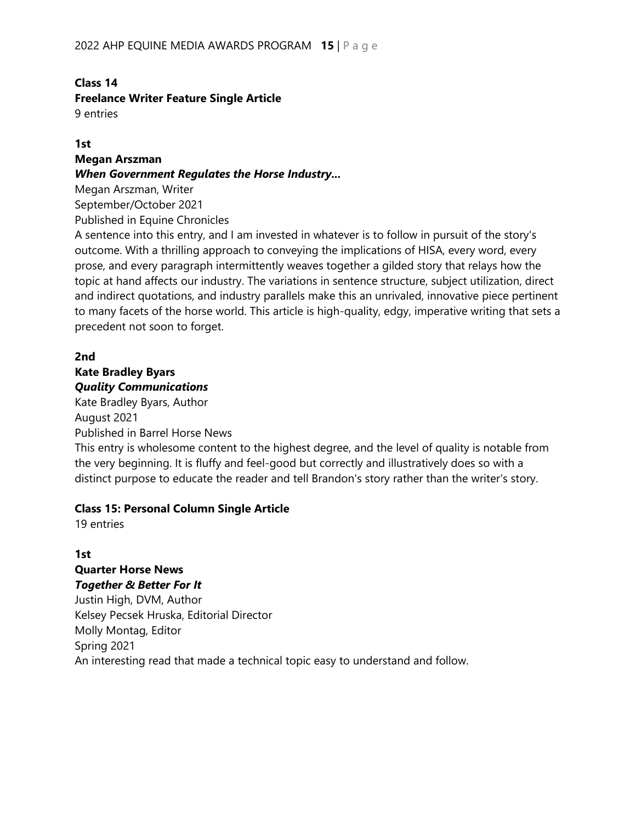#### **Class 14**

#### **Freelance Writer Feature Single Article**

9 entries

#### **1st**

#### **Megan Arszman**

#### *When Government Regulates the Horse Industry...*

Megan Arszman, Writer September/October 2021

Published in Equine Chronicles

A sentence into this entry, and I am invested in whatever is to follow in pursuit of the story's outcome. With a thrilling approach to conveying the implications of HISA, every word, every prose, and every paragraph intermittently weaves together a gilded story that relays how the topic at hand affects our industry. The variations in sentence structure, subject utilization, direct and indirect quotations, and industry parallels make this an unrivaled, innovative piece pertinent to many facets of the horse world. This article is high-quality, edgy, imperative writing that sets a precedent not soon to forget.

#### **2nd**

#### **Kate Bradley Byars** *Quality Communications*

Kate Bradley Byars, Author August 2021 Published in Barrel Horse News

This entry is wholesome content to the highest degree, and the level of quality is notable from the very beginning. It is fluffy and feel-good but correctly and illustratively does so with a distinct purpose to educate the reader and tell Brandon's story rather than the writer's story.

#### **Class 15: Personal Column Single Article**

19 entries

#### **1st Quarter Horse News** *Together & Better For It*

Justin High, DVM, Author Kelsey Pecsek Hruska, Editorial Director Molly Montag, Editor Spring 2021 An interesting read that made a technical topic easy to understand and follow.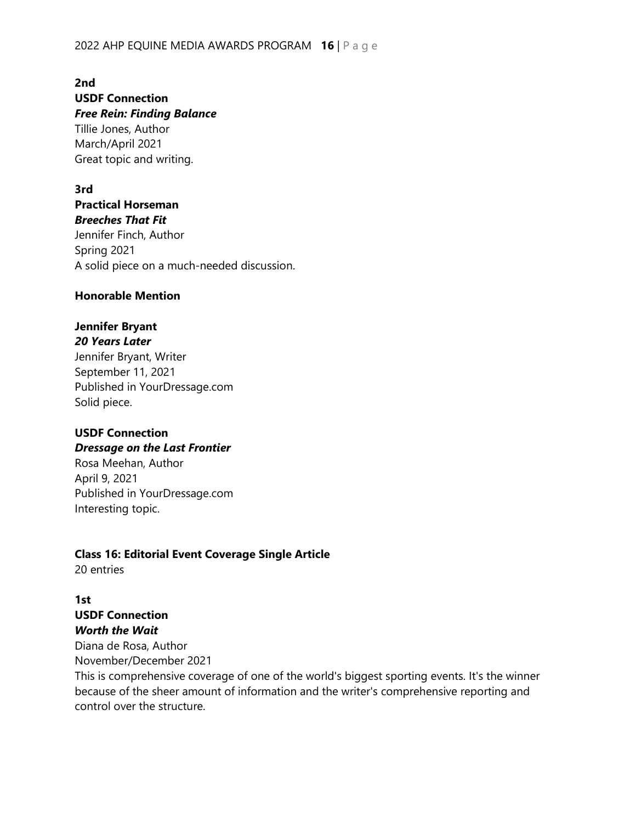#### 2022 AHP EQUINE MEDIA AWARDS PROGRAM **16** | Page

**2nd USDF Connection** *Free Rein: Finding Balance* Tillie Jones, Author

March/April 2021 Great topic and writing.

#### **3rd**

**Practical Horseman** *Breeches That Fit*

Jennifer Finch, Author Spring 2021 A solid piece on a much-needed discussion.

#### **Honorable Mention**

### **Jennifer Bryant**

*20 Years Later*

Jennifer Bryant, Writer September 11, 2021 Published in YourDressage.com Solid piece.

# **USDF Connection**

*Dressage on the Last Frontier*

Rosa Meehan, Author April 9, 2021 Published in YourDressage.com Interesting topic.

# **Class 16: Editorial Event Coverage Single Article**

20 entries

# **1st USDF Connection** *Worth the Wait*

Diana de Rosa, Author November/December 2021

This is comprehensive coverage of one of the world's biggest sporting events. It's the winner because of the sheer amount of information and the writer's comprehensive reporting and control over the structure.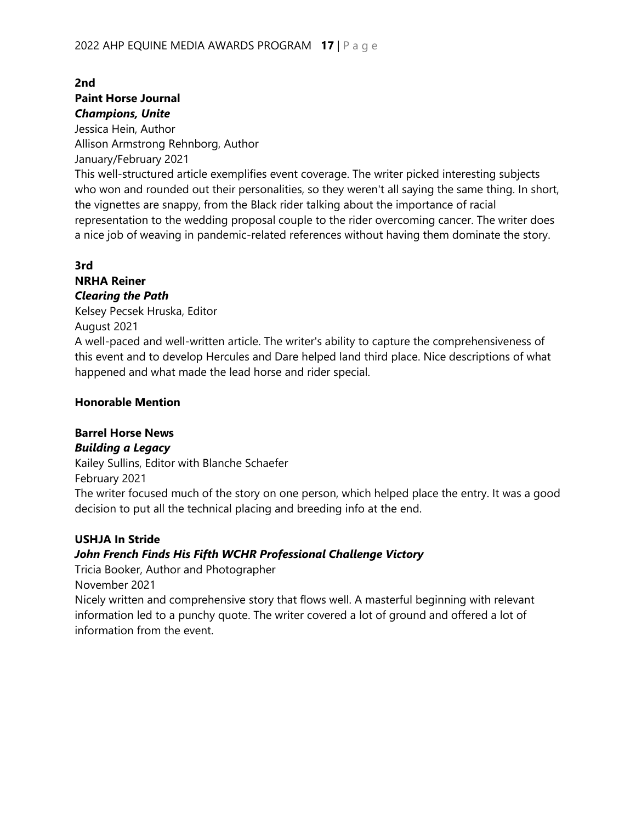#### **2nd Paint Horse Journal** *Champions, Unite*

Jessica Hein, Author Allison Armstrong Rehnborg, Author January/February 2021

This well-structured article exemplifies event coverage. The writer picked interesting subjects who won and rounded out their personalities, so they weren't all saying the same thing. In short, the vignettes are snappy, from the Black rider talking about the importance of racial representation to the wedding proposal couple to the rider overcoming cancer. The writer does a nice job of weaving in pandemic-related references without having them dominate the story.

#### **3rd**

#### **NRHA Reiner** *Clearing the Path*

Kelsey Pecsek Hruska, Editor

August 2021

A well-paced and well-written article. The writer's ability to capture the comprehensiveness of this event and to develop Hercules and Dare helped land third place. Nice descriptions of what happened and what made the lead horse and rider special.

#### **Honorable Mention**

#### **Barrel Horse News**

#### *Building a Legacy*

Kailey Sullins, Editor with Blanche Schaefer

February 2021

The writer focused much of the story on one person, which helped place the entry. It was a good decision to put all the technical placing and breeding info at the end.

#### **USHJA In Stride**

#### *John French Finds His Fifth WCHR Professional Challenge Victory*

Tricia Booker, Author and Photographer

November 2021

Nicely written and comprehensive story that flows well. A masterful beginning with relevant information led to a punchy quote. The writer covered a lot of ground and offered a lot of information from the event.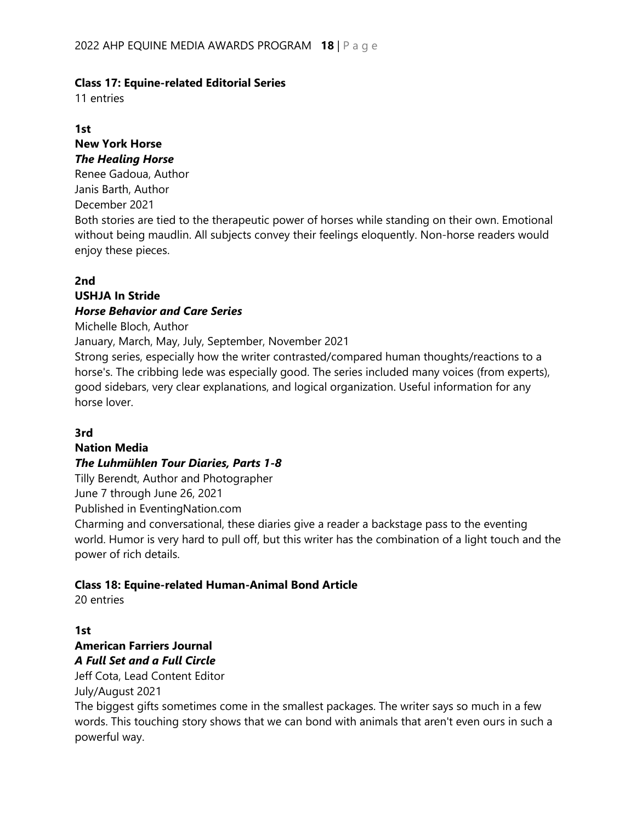#### **Class 17: Equine-related Editorial Series**

11 entries

#### **1st**

#### **New York Horse** *The Healing Horse*

Renee Gadoua, Author Janis Barth, Author December 2021

Both stories are tied to the therapeutic power of horses while standing on their own. Emotional without being maudlin. All subjects convey their feelings eloquently. Non-horse readers would enjoy these pieces.

#### **2nd**

#### **USHJA In Stride** *Horse Behavior and Care Series*

Michelle Bloch, Author

January, March, May, July, September, November 2021

Strong series, especially how the writer contrasted/compared human thoughts/reactions to a horse's. The cribbing lede was especially good. The series included many voices (from experts), good sidebars, very clear explanations, and logical organization. Useful information for any horse lover.

#### **3rd**

#### **Nation Media**

#### *The Luhmühlen Tour Diaries, Parts 1-8*

Tilly Berendt, Author and Photographer

June 7 through June 26, 2021

Published in EventingNation.com

Charming and conversational, these diaries give a reader a backstage pass to the eventing world. Humor is very hard to pull off, but this writer has the combination of a light touch and the power of rich details.

#### **Class 18: Equine-related Human-Animal Bond Article**

20 entries

#### **1st American Farriers Journal** *A Full Set and a Full Circle*

Jeff Cota, Lead Content Editor July/August 2021

The biggest gifts sometimes come in the smallest packages. The writer says so much in a few words. This touching story shows that we can bond with animals that aren't even ours in such a powerful way.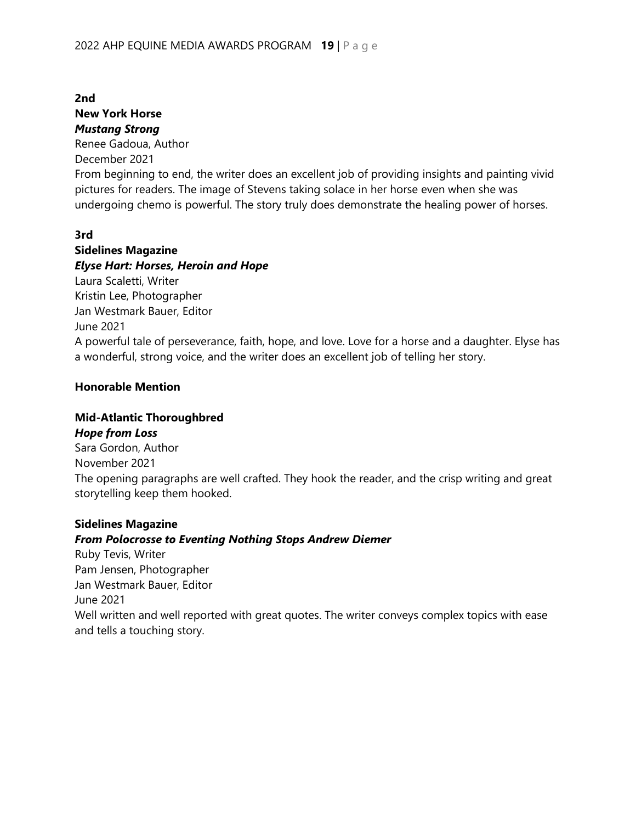**New York Horse** *Mustang Strong* Renee Gadoua, Author December 2021 From beginning to end, the writer does an excellent job of providing insights and painting vivid pictures for readers. The image of Stevens taking solace in her horse even when she was undergoing chemo is powerful. The story truly does demonstrate the healing power of horses.

#### **3rd**

**2nd**

**Sidelines Magazine** *Elyse Hart: Horses, Heroin and Hope* Laura Scaletti, Writer Kristin Lee, Photographer Jan Westmark Bauer, Editor June 2021 A powerful tale of perseverance, faith, hope, and love. Love for a horse and a daughter. Elyse has a wonderful, strong voice, and the writer does an excellent job of telling her story.

#### **Honorable Mention**

#### **Mid-Atlantic Thoroughbred**

*Hope from Loss* Sara Gordon, Author November 2021 The opening paragraphs are well crafted. They hook the reader, and the crisp writing and great storytelling keep them hooked.

#### **Sidelines Magazine**

#### *From Polocrosse to Eventing Nothing Stops Andrew Diemer*

Ruby Tevis, Writer Pam Jensen, Photographer Jan Westmark Bauer, Editor June 2021 Well written and well reported with great quotes. The writer conveys complex topics with ease and tells a touching story.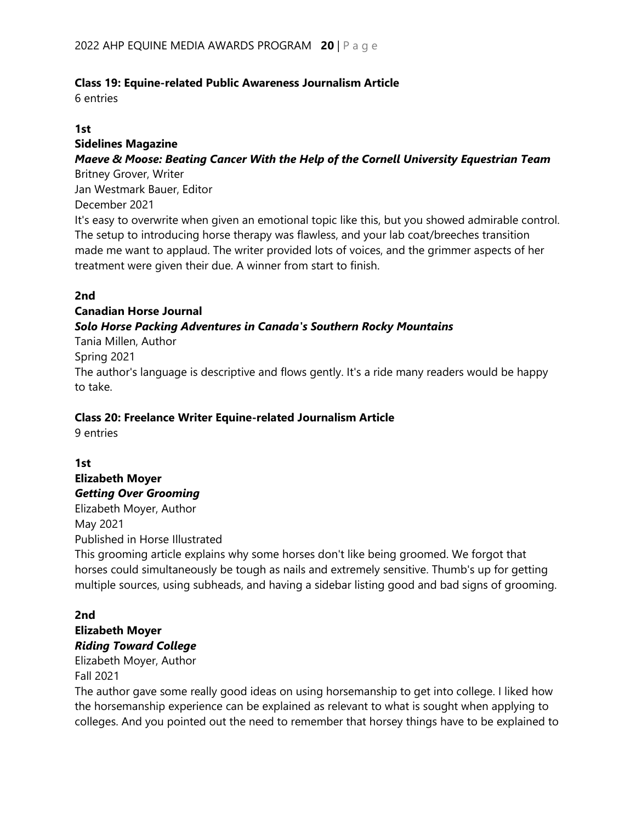#### **Class 19: Equine-related Public Awareness Journalism Article**

6 entries

#### **1st**

### **Sidelines Magazine**

#### *Maeve & Moose: Beating Cancer With the Help of the Cornell University Equestrian Team*

Britney Grover, Writer Jan Westmark Bauer, Editor

December 2021

It's easy to overwrite when given an emotional topic like this, but you showed admirable control. The setup to introducing horse therapy was flawless, and your lab coat/breeches transition made me want to applaud. The writer provided lots of voices, and the grimmer aspects of her treatment were given their due. A winner from start to finish.

#### **2nd**

# **Canadian Horse Journal**

#### *Solo Horse Packing Adventures in Canada's Southern Rocky Mountains*

Tania Millen, Author

#### Spring 2021

The author's language is descriptive and flows gently. It's a ride many readers would be happy to take.

#### **Class 20: Freelance Writer Equine-related Journalism Article**

9 entries

# **1st Elizabeth Moyer** *Getting Over Grooming*

Elizabeth Moyer, Author May 2021

Published in Horse Illustrated

This grooming article explains why some horses don't like being groomed. We forgot that horses could simultaneously be tough as nails and extremely sensitive. Thumb's up for getting multiple sources, using subheads, and having a sidebar listing good and bad signs of grooming.

#### **2nd Elizabeth Moyer** *Riding Toward College*

Elizabeth Moyer, Author

#### Fall 2021

The author gave some really good ideas on using horsemanship to get into college. I liked how the horsemanship experience can be explained as relevant to what is sought when applying to colleges. And you pointed out the need to remember that horsey things have to be explained to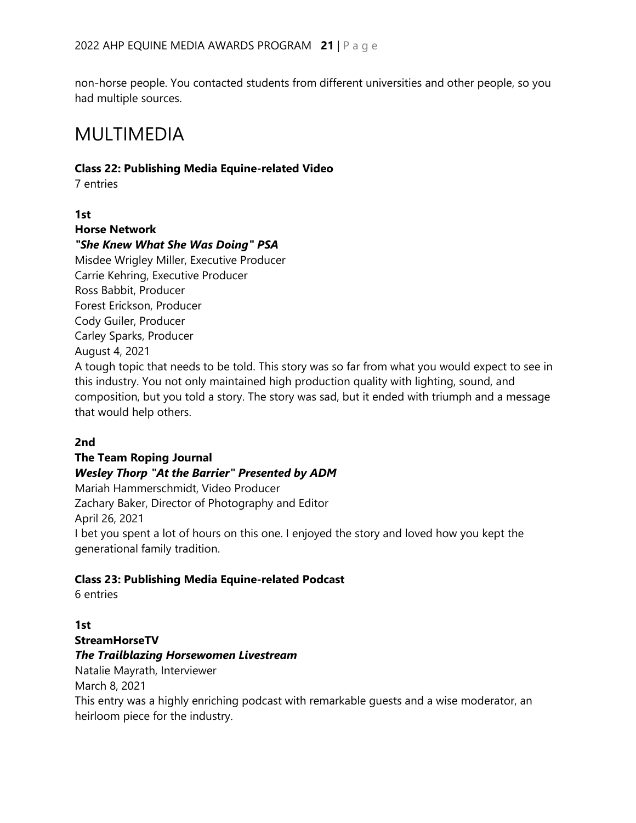non-horse people. You contacted students from different universities and other people, so you had multiple sources.

# MULTIMEDIA

#### **Class 22: Publishing Media Equine-related Video**

7 entries

#### **1st**

**Horse Network** 

#### *"She Knew What She Was Doing" PSA*

Misdee Wrigley Miller, Executive Producer Carrie Kehring, Executive Producer Ross Babbit, Producer Forest Erickson, Producer Cody Guiler, Producer Carley Sparks, Producer August 4, 2021

A tough topic that needs to be told. This story was so far from what you would expect to see in this industry. You not only maintained high production quality with lighting, sound, and composition, but you told a story. The story was sad, but it ended with triumph and a message that would help others.

#### **2nd**

#### **The Team Roping Journal**

#### *Wesley Thorp "At the Barrier" Presented by ADM*

Mariah Hammerschmidt, Video Producer Zachary Baker, Director of Photography and Editor April 26, 2021 I bet you spent a lot of hours on this one. I enjoyed the story and loved how you kept the generational family tradition.

#### **Class 23: Publishing Media Equine-related Podcast**

6 entries

#### **1st**

# **StreamHorseTV**

#### *The Trailblazing Horsewomen Livestream*

Natalie Mayrath, Interviewer March 8, 2021

This entry was a highly enriching podcast with remarkable guests and a wise moderator, an heirloom piece for the industry.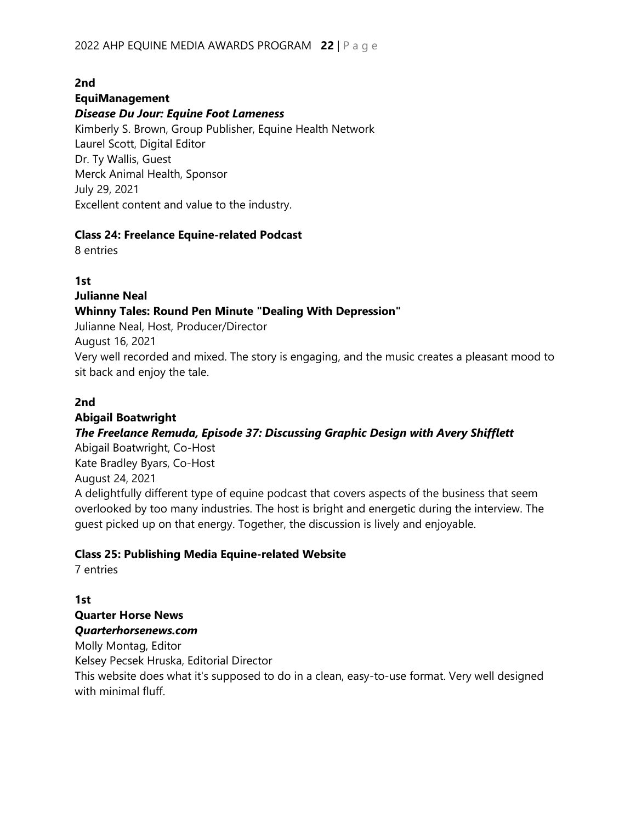# **2nd**

#### **EquiManagement**

#### *Disease Du Jour: Equine Foot Lameness*

Kimberly S. Brown, Group Publisher, Equine Health Network Laurel Scott, Digital Editor Dr. Ty Wallis, Guest Merck Animal Health, Sponsor July 29, 2021 Excellent content and value to the industry.

#### **Class 24: Freelance Equine-related Podcast**

8 entries

#### **1st**

**Julianne Neal**

#### **Whinny Tales: Round Pen Minute "Dealing With Depression"**

Julianne Neal, Host, Producer/Director August 16, 2021

Very well recorded and mixed. The story is engaging, and the music creates a pleasant mood to sit back and enjoy the tale.

#### **2nd**

#### **Abigail Boatwright** *The Freelance Remuda, Episode 37: Discussing Graphic Design with Avery Shifflett*

Abigail Boatwright, Co-Host Kate Bradley Byars, Co-Host August 24, 2021

A delightfully different type of equine podcast that covers aspects of the business that seem overlooked by too many industries. The host is bright and energetic during the interview. The guest picked up on that energy. Together, the discussion is lively and enjoyable.

#### **Class 25: Publishing Media Equine-related Website**

7 entries

**1st Quarter Horse News** *Quarterhorsenews.com*

Molly Montag, Editor

Kelsey Pecsek Hruska, Editorial Director

This website does what it's supposed to do in a clean, easy-to-use format. Very well designed with minimal fluff.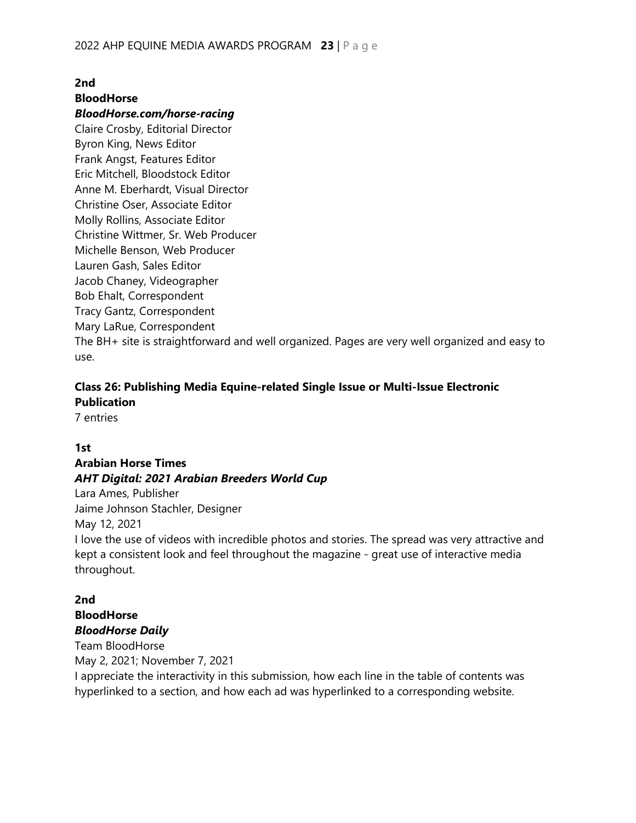# **2nd BloodHorse**

#### *BloodHorse.com/horse-racing*

Claire Crosby, Editorial Director Byron King, News Editor Frank Angst, Features Editor Eric Mitchell, Bloodstock Editor Anne M. Eberhardt, Visual Director Christine Oser, Associate Editor Molly Rollins, Associate Editor Christine Wittmer, Sr. Web Producer Michelle Benson, Web Producer Lauren Gash, Sales Editor Jacob Chaney, Videographer Bob Ehalt, Correspondent Tracy Gantz, Correspondent Mary LaRue, Correspondent The BH+ site is straightforward and well organized. Pages are very well organized and easy to use.

# **Class 26: Publishing Media Equine-related Single Issue or Multi-Issue Electronic Publication**

7 entries

#### **1st**

#### **Arabian Horse Times**

#### *AHT Digital: 2021 Arabian Breeders World Cup*

Lara Ames, Publisher Jaime Johnson Stachler, Designer

May 12, 2021

I love the use of videos with incredible photos and stories. The spread was very attractive and kept a consistent look and feel throughout the magazine - great use of interactive media throughout.

#### **2nd BloodHorse** *BloodHorse Daily*

Team BloodHorse May 2, 2021; November 7, 2021

I appreciate the interactivity in this submission, how each line in the table of contents was hyperlinked to a section, and how each ad was hyperlinked to a corresponding website.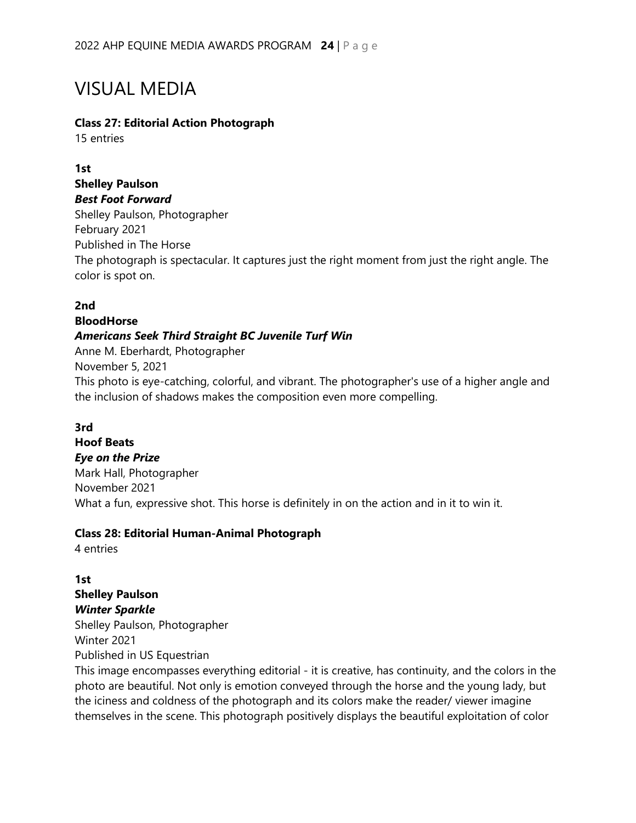# VISUAL MEDIA

#### **Class 27: Editorial Action Photograph**

15 entries

#### **1st Shelley Paulson** *Best Foot Forward*

Shelley Paulson, Photographer February 2021 Published in The Horse The photograph is spectacular. It captures just the right moment from just the right angle. The color is spot on.

### **2nd**

# **BloodHorse** *Americans Seek Third Straight BC Juvenile Turf Win*

Anne M. Eberhardt, Photographer November 5, 2021 This photo is eye-catching, colorful, and vibrant. The photographer's use of a higher angle and the inclusion of shadows makes the composition even more compelling.

#### **3rd**

# **Hoof Beats**

*Eye on the Prize* Mark Hall, Photographer November 2021 What a fun, expressive shot. This horse is definitely in on the action and in it to win it.

#### **Class 28: Editorial Human-Animal Photograph**

4 entries

#### **1st Shelley Paulson** *Winter Sparkle*

Shelley Paulson, Photographer Winter 2021 Published in US Equestrian

This image encompasses everything editorial - it is creative, has continuity, and the colors in the photo are beautiful. Not only is emotion conveyed through the horse and the young lady, but the iciness and coldness of the photograph and its colors make the reader/ viewer imagine themselves in the scene. This photograph positively displays the beautiful exploitation of color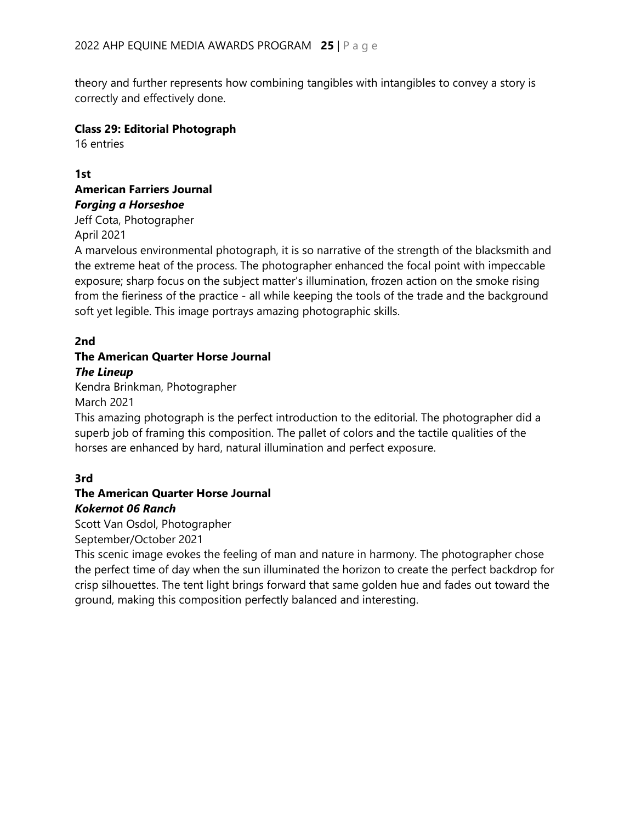theory and further represents how combining tangibles with intangibles to convey a story is correctly and effectively done.

#### **Class 29: Editorial Photograph**

16 entries

#### **1st American Farriers Journal** *Forging a Horseshoe*

Jeff Cota, Photographer April 2021

A marvelous environmental photograph, it is so narrative of the strength of the blacksmith and the extreme heat of the process. The photographer enhanced the focal point with impeccable exposure; sharp focus on the subject matter's illumination, frozen action on the smoke rising from the fieriness of the practice - all while keeping the tools of the trade and the background soft yet legible. This image portrays amazing photographic skills.

# **2nd**

### **The American Quarter Horse Journal** *The Lineup*

Kendra Brinkman, Photographer March 2021

This amazing photograph is the perfect introduction to the editorial. The photographer did a superb job of framing this composition. The pallet of colors and the tactile qualities of the horses are enhanced by hard, natural illumination and perfect exposure.

# **3rd**

# **The American Quarter Horse Journal** *Kokernot 06 Ranch*

Scott Van Osdol, Photographer September/October 2021

This scenic image evokes the feeling of man and nature in harmony. The photographer chose the perfect time of day when the sun illuminated the horizon to create the perfect backdrop for crisp silhouettes. The tent light brings forward that same golden hue and fades out toward the ground, making this composition perfectly balanced and interesting.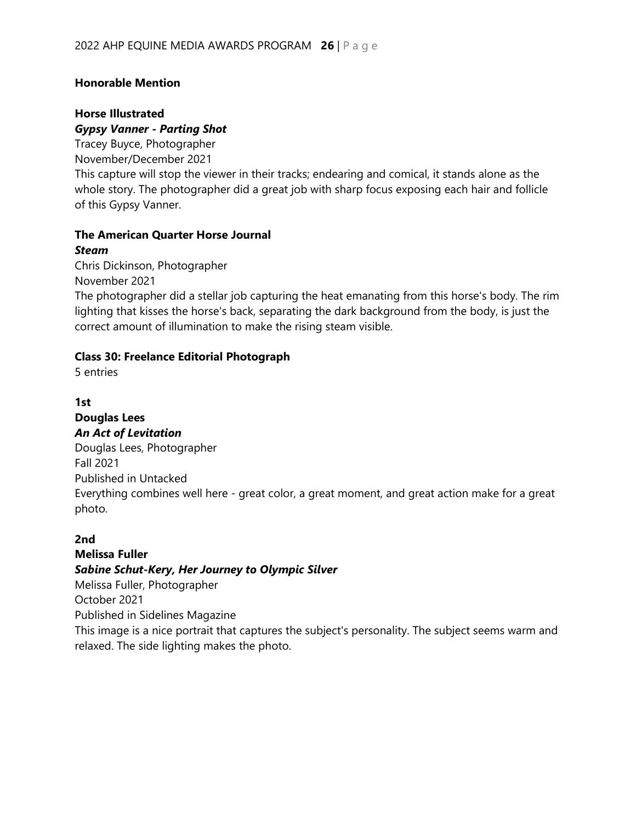#### **Honorable Mention**

#### **Horse Illustrated** *Gypsy Vanner - Parting Shot*

Tracey Buyce, Photographer November/December 2021 This capture will stop the viewer in their tracks; endearing and comical, it stands alone as the whole story. The photographer did a great job with sharp focus exposing each hair and follicle of this Gypsy Vanner.

#### **The American Quarter Horse Journal** *Steam*

Chris Dickinson, Photographer November 2021

The photographer did a stellar job capturing the heat emanating from this horse's body. The rim lighting that kisses the horse's back, separating the dark background from the body, is just the correct amount of illumination to make the rising steam visible.

#### **Class 30: Freelance Editorial Photograph**

5 entries

# **1st**

#### **Douglas Lees** *An Act of Levitation*

Douglas Lees, Photographer Fall 2021 Published in Untacked Everything combines well here - great color, a great moment, and great action make for a great photo.

#### **2nd**

# **Melissa Fuller**

#### *Sabine Schut-Kery, Her Journey to Olympic Silver*

Melissa Fuller, Photographer

October 2021

Published in Sidelines Magazine

This image is a nice portrait that captures the subject's personality. The subject seems warm and relaxed. The side lighting makes the photo.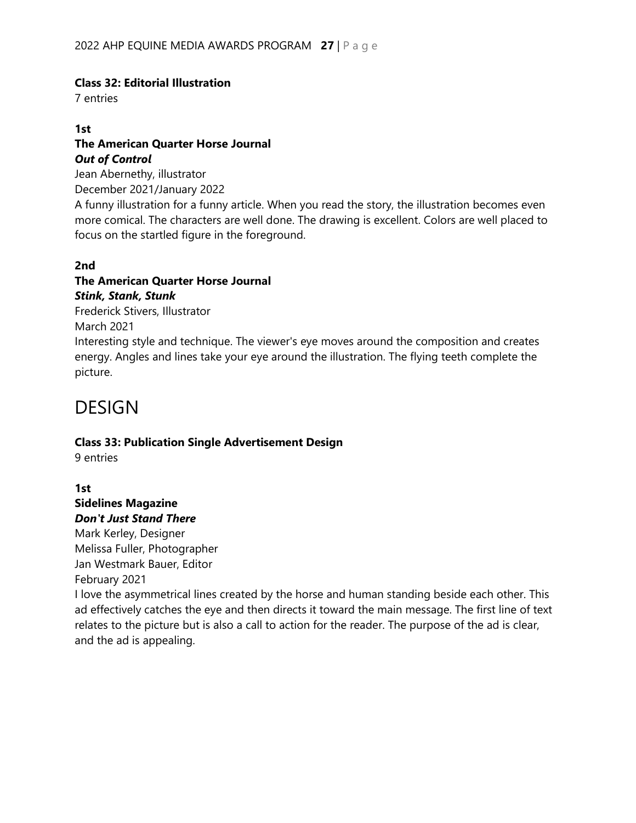#### **Class 32: Editorial Illustration**

7 entries

#### **1st**

#### **The American Quarter Horse Journal** *Out of Control*

Jean Abernethy, illustrator December 2021/January 2022

A funny illustration for a funny article. When you read the story, the illustration becomes even more comical. The characters are well done. The drawing is excellent. Colors are well placed to focus on the startled figure in the foreground.

#### **2nd**

# **The American Quarter Horse Journal**

*Stink, Stank, Stunk* Frederick Stivers, Illustrator March 2021 Interesting style and technique. The viewer's eye moves around the composition and creates energy. Angles and lines take your eye around the illustration. The flying teeth complete the picture.

# **DESIGN**

#### **Class 33: Publication Single Advertisement Design**

9 entries

### **1st Sidelines Magazine** *Don't Just Stand There*

Mark Kerley, Designer Melissa Fuller, Photographer Jan Westmark Bauer, Editor February 2021

I love the asymmetrical lines created by the horse and human standing beside each other. This ad effectively catches the eye and then directs it toward the main message. The first line of text relates to the picture but is also a call to action for the reader. The purpose of the ad is clear, and the ad is appealing.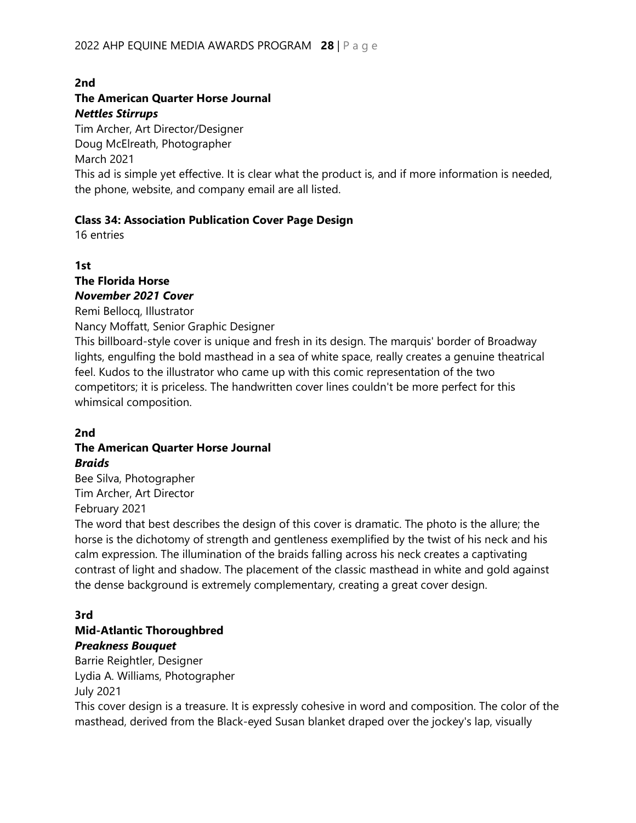#### **2nd**

#### **The American Quarter Horse Journal** *Nettles Stirrups*

Tim Archer, Art Director/Designer Doug McElreath, Photographer March 2021

This ad is simple yet effective. It is clear what the product is, and if more information is needed, the phone, website, and company email are all listed.

#### **Class 34: Association Publication Cover Page Design**

16 entries

#### **1st The Florida Horse** *November 2021 Cover*

Remi Bellocq, Illustrator

Nancy Moffatt, Senior Graphic Designer

This billboard-style cover is unique and fresh in its design. The marquis' border of Broadway lights, engulfing the bold masthead in a sea of white space, really creates a genuine theatrical feel. Kudos to the illustrator who came up with this comic representation of the two competitors; it is priceless. The handwritten cover lines couldn't be more perfect for this whimsical composition.

#### **2nd**

### **The American Quarter Horse Journal** *Braids*

Bee Silva, Photographer Tim Archer, Art Director February 2021

The word that best describes the design of this cover is dramatic. The photo is the allure; the horse is the dichotomy of strength and gentleness exemplified by the twist of his neck and his calm expression. The illumination of the braids falling across his neck creates a captivating contrast of light and shadow. The placement of the classic masthead in white and gold against the dense background is extremely complementary, creating a great cover design.

#### **3rd Mid-Atlantic Thoroughbred**

# *Preakness Bouquet*

Barrie Reightler, Designer Lydia A. Williams, Photographer July 2021

This cover design is a treasure. It is expressly cohesive in word and composition. The color of the masthead, derived from the Black-eyed Susan blanket draped over the jockey's lap, visually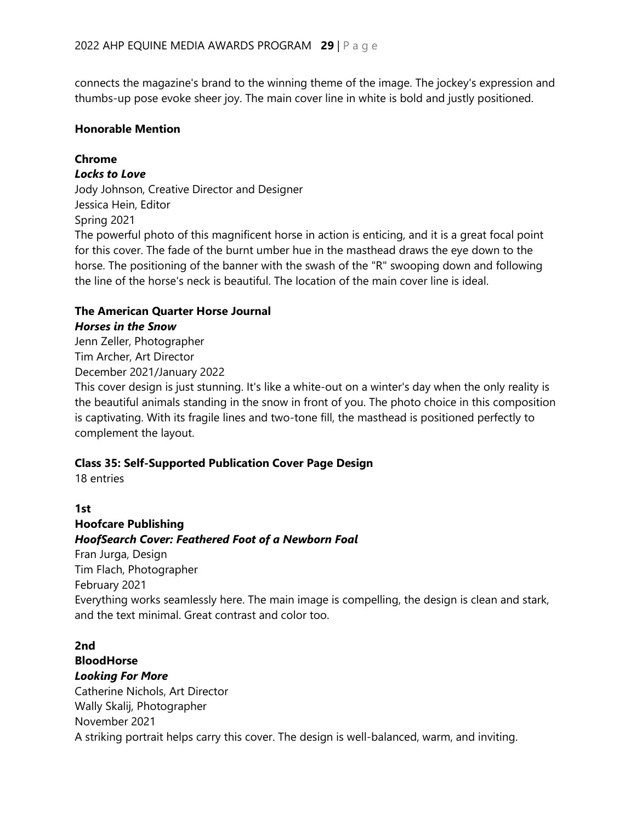connects the magazine's brand to the winning theme of the image. The jockey's expression and thumbs-up pose evoke sheer joy. The main cover line in white is bold and justly positioned.

#### **Honorable Mention**

#### **Chrome**

#### *Locks to Love*

Jody Johnson, Creative Director and Designer Jessica Hein, Editor Spring 2021 The powerful photo of this magnificent horse in action is enticing, and it is a great focal point for this cover. The fade of the burnt umber hue in the masthead draws the eye down to the horse. The positioning of the banner with the swash of the "R" swooping down and following the line of the horse's neck is beautiful. The location of the main cover line is ideal.

#### **The American Quarter Horse Journal**

#### *Horses in the Snow*

Jenn Zeller, Photographer Tim Archer, Art Director December 2021/January 2022

This cover design is just stunning. It's like a white-out on a winter's day when the only reality is the beautiful animals standing in the snow in front of you. The photo choice in this composition is captivating. With its fragile lines and two-tone fill, the masthead is positioned perfectly to complement the layout.

#### **Class 35: Self-Supported Publication Cover Page Design**

18 entries

#### **1st**

**Hoofcare Publishing** *HoofSearch Cover: Feathered Foot of a Newborn Foal* Fran Jurga, Design Tim Flach, Photographer February 2021 Everything works seamlessly here. The main image is compelling, the design is clean and stark, and the text minimal. Great contrast and color too.

#### **2nd**

#### **BloodHorse** *Looking For More*

Catherine Nichols, Art Director Wally Skalij, Photographer November 2021 A striking portrait helps carry this cover. The design is well-balanced, warm, and inviting.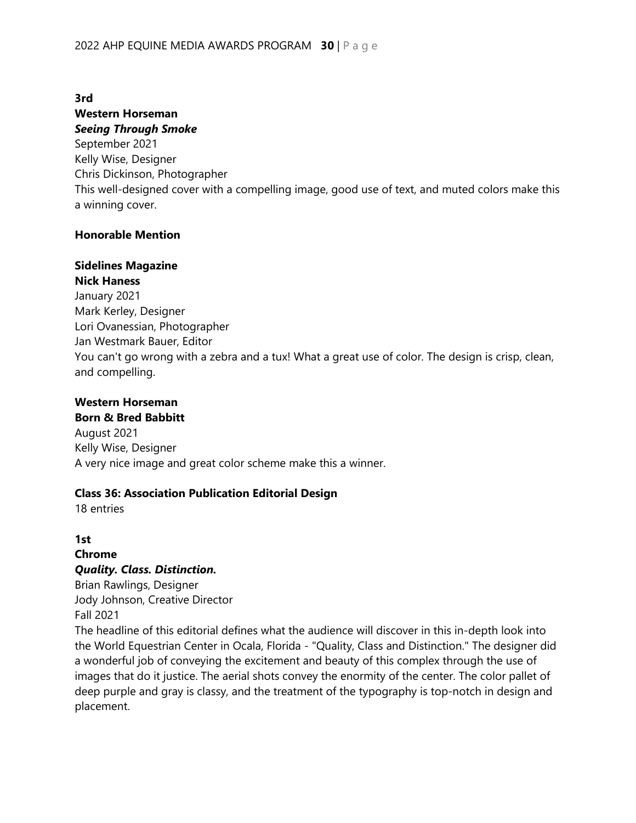**3rd**

# **Western Horseman**

*Seeing Through Smoke* September 2021 Kelly Wise, Designer Chris Dickinson, Photographer This well-designed cover with a compelling image, good use of text, and muted colors make this a winning cover.

#### **Honorable Mention**

#### **Sidelines Magazine Nick Haness**

January 2021 Mark Kerley, Designer Lori Ovanessian, Photographer Jan Westmark Bauer, Editor You can't go wrong with a zebra and a tux! What a great use of color. The design is crisp, clean, and compelling.

# **Western Horseman**

### **Born & Bred Babbitt** August 2021 Kelly Wise, Designer

A very nice image and great color scheme make this a winner.

#### **Class 36: Association Publication Editorial Design**

18 entries

# **1st Chrome** *Quality. Class. Distinction.* Brian Rawlings, Designer

Jody Johnson, Creative Director Fall 2021

The headline of this editorial defines what the audience will discover in this in-depth look into the World Equestrian Center in Ocala, Florida - "Quality, Class and Distinction." The designer did a wonderful job of conveying the excitement and beauty of this complex through the use of images that do it justice. The aerial shots convey the enormity of the center. The color pallet of deep purple and gray is classy, and the treatment of the typography is top-notch in design and placement.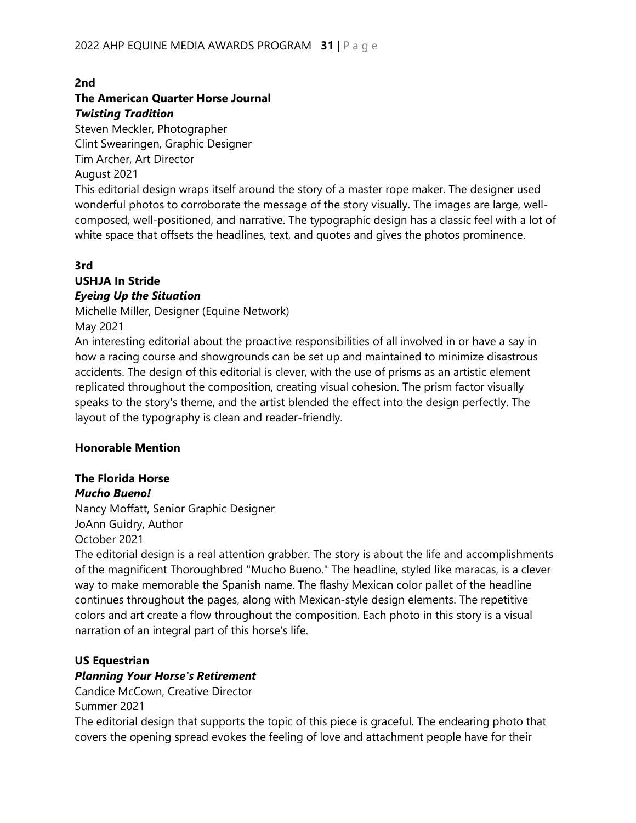#### **2nd**

#### **The American Quarter Horse Journal** *Twisting Tradition*

Steven Meckler, Photographer Clint Swearingen, Graphic Designer Tim Archer, Art Director August 2021

This editorial design wraps itself around the story of a master rope maker. The designer used wonderful photos to corroborate the message of the story visually. The images are large, wellcomposed, well-positioned, and narrative. The typographic design has a classic feel with a lot of white space that offsets the headlines, text, and quotes and gives the photos prominence.

#### **3rd**

# **USHJA In Stride**

#### *Eyeing Up the Situation*

Michelle Miller, Designer (Equine Network)

May 2021

An interesting editorial about the proactive responsibilities of all involved in or have a say in how a racing course and showgrounds can be set up and maintained to minimize disastrous accidents. The design of this editorial is clever, with the use of prisms as an artistic element replicated throughout the composition, creating visual cohesion. The prism factor visually speaks to the story's theme, and the artist blended the effect into the design perfectly. The layout of the typography is clean and reader-friendly.

#### **Honorable Mention**

# **The Florida Horse**

*Mucho Bueno!* Nancy Moffatt, Senior Graphic Designer JoAnn Guidry, Author October 2021

The editorial design is a real attention grabber. The story is about the life and accomplishments of the magnificent Thoroughbred "Mucho Bueno." The headline, styled like maracas, is a clever way to make memorable the Spanish name. The flashy Mexican color pallet of the headline continues throughout the pages, along with Mexican-style design elements. The repetitive colors and art create a flow throughout the composition. Each photo in this story is a visual narration of an integral part of this horse's life.

#### **US Equestrian**

#### *Planning Your Horse's Retirement*

Candice McCown, Creative Director

Summer 2021

The editorial design that supports the topic of this piece is graceful. The endearing photo that covers the opening spread evokes the feeling of love and attachment people have for their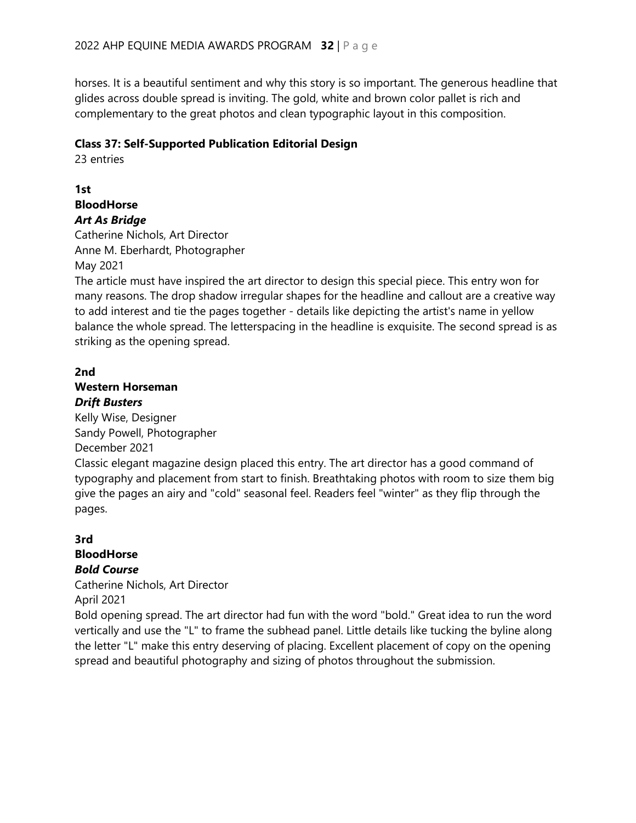horses. It is a beautiful sentiment and why this story is so important. The generous headline that glides across double spread is inviting. The gold, white and brown color pallet is rich and complementary to the great photos and clean typographic layout in this composition.

#### **Class 37: Self-Supported Publication Editorial Design**

23 entries

**1st BloodHorse** *Art As Bridge*

Catherine Nichols, Art Director Anne M. Eberhardt, Photographer May 2021

The article must have inspired the art director to design this special piece. This entry won for many reasons. The drop shadow irregular shapes for the headline and callout are a creative way to add interest and tie the pages together - details like depicting the artist's name in yellow balance the whole spread. The letterspacing in the headline is exquisite. The second spread is as striking as the opening spread.

#### **2nd**

**Western Horseman** *Drift Busters*

Kelly Wise, Designer Sandy Powell, Photographer December 2021 Classic elegant magazine design placed this entry. The art director has a good command of typography and placement from start to finish. Breathtaking photos with room to size them big give the pages an airy and "cold" seasonal feel. Readers feel "winter" as they flip through the pages.

# **3rd BloodHorse** *Bold Course*

Catherine Nichols, Art Director

April 2021

Bold opening spread. The art director had fun with the word "bold." Great idea to run the word vertically and use the "L" to frame the subhead panel. Little details like tucking the byline along the letter "L" make this entry deserving of placing. Excellent placement of copy on the opening spread and beautiful photography and sizing of photos throughout the submission.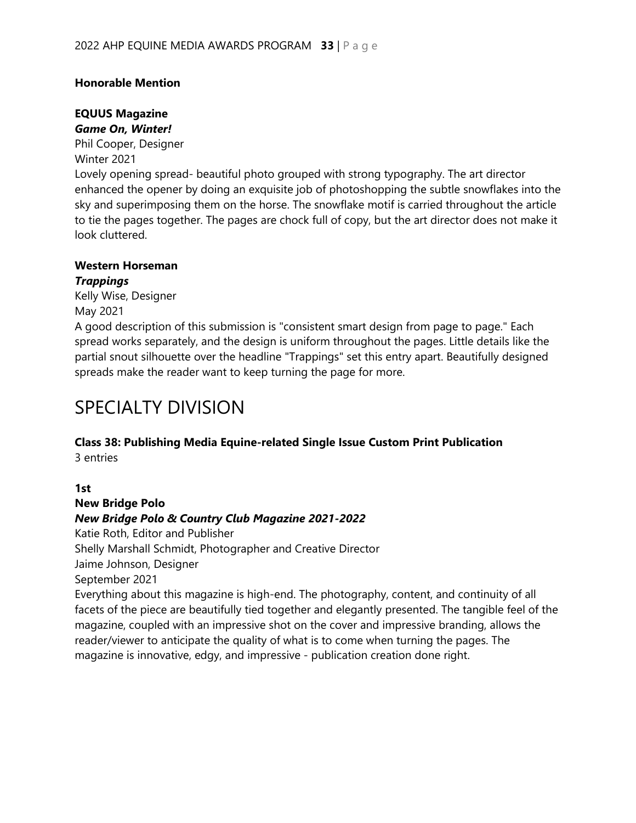#### **Honorable Mention**

#### **EQUUS Magazine**  *Game On, Winter!*

Phil Cooper, Designer Winter 2021 Lovely opening spread- beautiful photo grouped with strong typography. The art director enhanced the opener by doing an exquisite job of photoshopping the subtle snowflakes into the sky and superimposing them on the horse. The snowflake motif is carried throughout the article to tie the pages together. The pages are chock full of copy, but the art director does not make it look cluttered.

#### **Western Horseman** *Trappings*

Kelly Wise, Designer May 2021

A good description of this submission is "consistent smart design from page to page." Each spread works separately, and the design is uniform throughout the pages. Little details like the partial snout silhouette over the headline "Trappings" set this entry apart. Beautifully designed spreads make the reader want to keep turning the page for more.

# SPECIALTY DIVISION

#### **Class 38: Publishing Media Equine-related Single Issue Custom Print Publication**  3 entries

# **1st**

**New Bridge Polo** *New Bridge Polo & Country Club Magazine 2021-2022* 

Katie Roth, Editor and Publisher Shelly Marshall Schmidt, Photographer and Creative Director Jaime Johnson, Designer September 2021 Everything about this magazine is high-end. The photography, content, and continuity of all

facets of the piece are beautifully tied together and elegantly presented. The tangible feel of the magazine, coupled with an impressive shot on the cover and impressive branding, allows the reader/viewer to anticipate the quality of what is to come when turning the pages. The magazine is innovative, edgy, and impressive - publication creation done right.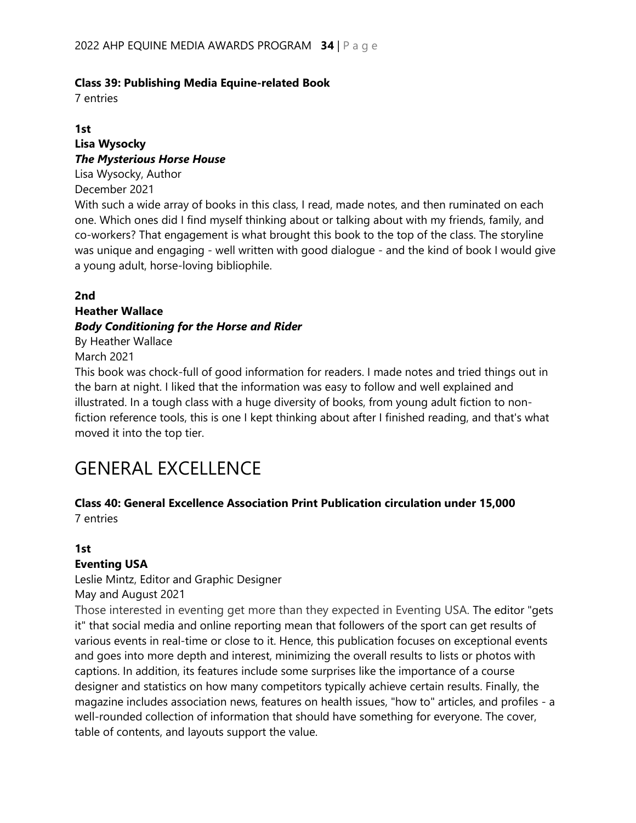#### **Class 39: Publishing Media Equine-related Book**

7 entries

#### **1st**

#### **Lisa Wysocky** *The Mysterious Horse House*

Lisa Wysocky, Author December 2021

With such a wide array of books in this class, I read, made notes, and then ruminated on each one. Which ones did I find myself thinking about or talking about with my friends, family, and co-workers? That engagement is what brought this book to the top of the class. The storyline was unique and engaging - well written with good dialogue - and the kind of book I would give a young adult, horse-loving bibliophile.

#### **2nd**

#### **Heather Wallace**

### *Body Conditioning for the Horse and Rider*

By Heather Wallace

#### March 2021

This book was chock-full of good information for readers. I made notes and tried things out in the barn at night. I liked that the information was easy to follow and well explained and illustrated. In a tough class with a huge diversity of books, from young adult fiction to nonfiction reference tools, this is one I kept thinking about after I finished reading, and that's what moved it into the top tier.

# GENERAL EXCELLENCE

# **Class 40: General Excellence Association Print Publication circulation under 15,000**

7 entries

# **1st**

# **Eventing USA**

Leslie Mintz, Editor and Graphic Designer

May and August 2021

Those interested in eventing get more than they expected in Eventing USA. The editor "gets it" that social media and online reporting mean that followers of the sport can get results of various events in real-time or close to it. Hence, this publication focuses on exceptional events and goes into more depth and interest, minimizing the overall results to lists or photos with captions. In addition, its features include some surprises like the importance of a course designer and statistics on how many competitors typically achieve certain results. Finally, the magazine includes association news, features on health issues, "how to" articles, and profiles - a well-rounded collection of information that should have something for everyone. The cover, table of contents, and layouts support the value.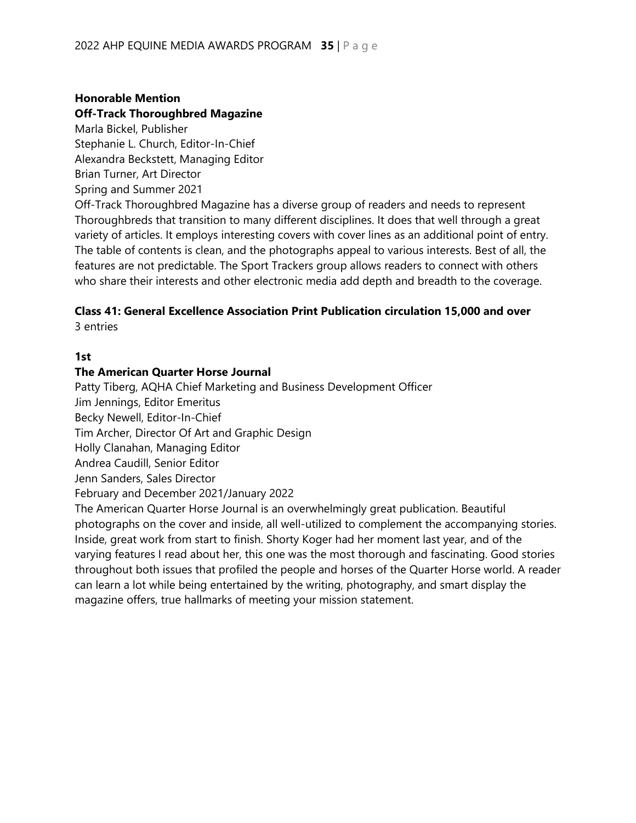#### **Honorable Mention**

#### **Off-Track Thoroughbred Magazine**

Marla Bickel, Publisher Stephanie L. Church, Editor-In-Chief Alexandra Beckstett, Managing Editor Brian Turner, Art Director Spring and Summer 2021

Off-Track Thoroughbred Magazine has a diverse group of readers and needs to represent Thoroughbreds that transition to many different disciplines. It does that well through a great variety of articles. It employs interesting covers with cover lines as an additional point of entry. The table of contents is clean, and the photographs appeal to various interests. Best of all, the features are not predictable. The Sport Trackers group allows readers to connect with others who share their interests and other electronic media add depth and breadth to the coverage.

# **Class 41: General Excellence Association Print Publication circulation 15,000 and over**

3 entries

#### **1st**

#### **The American Quarter Horse Journal**

Patty Tiberg, AQHA Chief Marketing and Business Development Officer

Jim Jennings, Editor Emeritus

Becky Newell, Editor-In-Chief

Tim Archer, Director Of Art and Graphic Design

Holly Clanahan, Managing Editor

Andrea Caudill, Senior Editor

Jenn Sanders, Sales Director

February and December 2021/January 2022

The American Quarter Horse Journal is an overwhelmingly great publication. Beautiful photographs on the cover and inside, all well-utilized to complement the accompanying stories. Inside, great work from start to finish. Shorty Koger had her moment last year, and of the varying features I read about her, this one was the most thorough and fascinating. Good stories throughout both issues that profiled the people and horses of the Quarter Horse world. A reader can learn a lot while being entertained by the writing, photography, and smart display the magazine offers, true hallmarks of meeting your mission statement.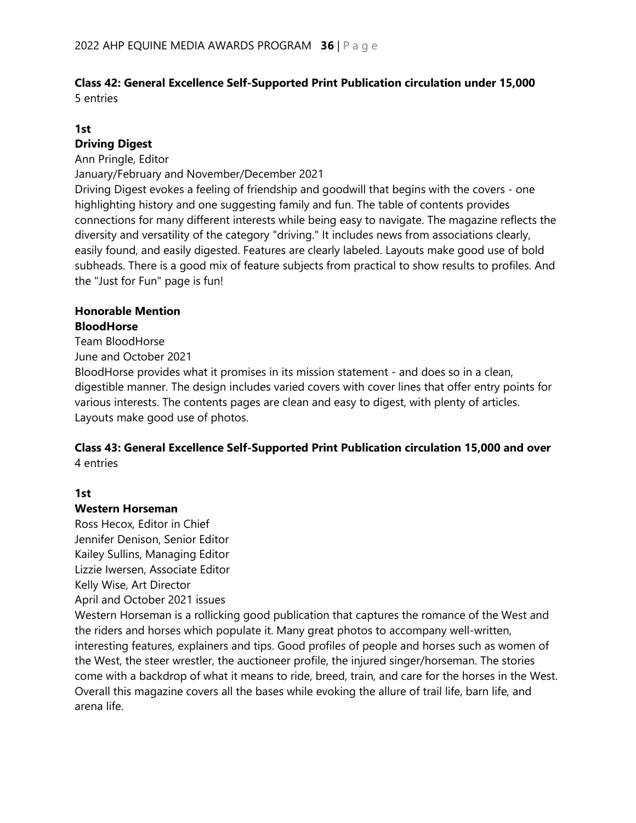#### **Class 42: General Excellence Self-Supported Print Publication circulation under 15,000** 5 entries

# **1st**

#### **Driving Digest**

Ann Pringle, Editor

January/February and November/December 2021

Driving Digest evokes a feeling of friendship and goodwill that begins with the covers - one highlighting history and one suggesting family and fun. The table of contents provides connections for many different interests while being easy to navigate. The magazine reflects the diversity and versatility of the category "driving." It includes news from associations clearly, easily found, and easily digested. Features are clearly labeled. Layouts make good use of bold subheads. There is a good mix of feature subjects from practical to show results to profiles. And the "Just for Fun" page is fun!

### **Honorable Mention BloodHorse**

Team BloodHorse

June and October 2021

BloodHorse provides what it promises in its mission statement - and does so in a clean, digestible manner. The design includes varied covers with cover lines that offer entry points for various interests. The contents pages are clean and easy to digest, with plenty of articles. Layouts make good use of photos.

#### **Class 43: General Excellence Self-Supported Print Publication circulation 15,000 and over** 4 entries

# **1st**

# **Western Horseman**

Ross Hecox, Editor in Chief Jennifer Denison, Senior Editor Kailey Sullins, Managing Editor Lizzie Iwersen, Associate Editor Kelly Wise, Art Director April and October 2021 issues

Western Horseman is a rollicking good publication that captures the romance of the West and the riders and horses which populate it. Many great photos to accompany well-written, interesting features, explainers and tips. Good profiles of people and horses such as women of the West, the steer wrestler, the auctioneer profile, the injured singer/horseman. The stories come with a backdrop of what it means to ride, breed, train, and care for the horses in the West. Overall this magazine covers all the bases while evoking the allure of trail life, barn life, and arena life.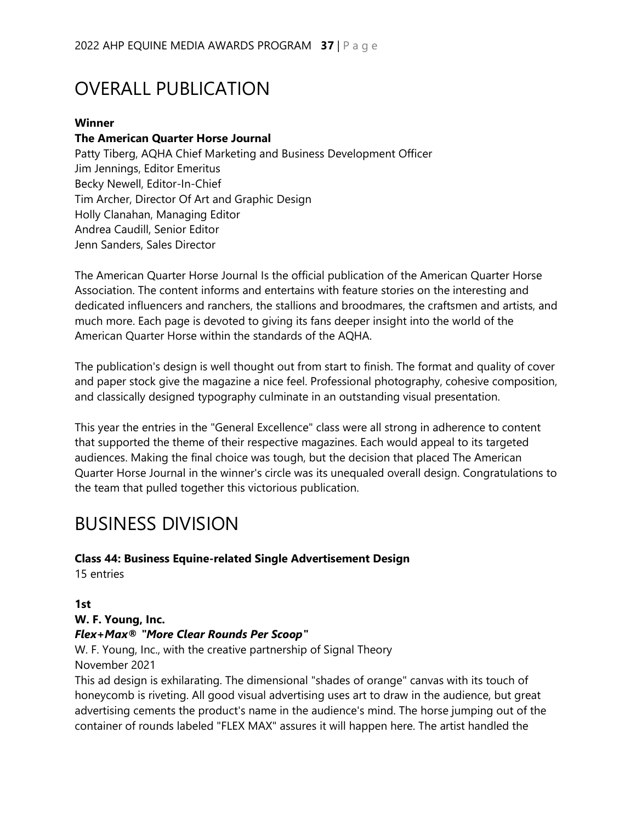# OVERALL PUBLICATION

#### **Winner**

#### **The American Quarter Horse Journal**

Patty Tiberg, AQHA Chief Marketing and Business Development Officer Jim Jennings, Editor Emeritus Becky Newell, Editor-In-Chief Tim Archer, Director Of Art and Graphic Design Holly Clanahan, Managing Editor Andrea Caudill, Senior Editor Jenn Sanders, Sales Director

The American Quarter Horse Journal Is the official publication of the American Quarter Horse Association. The content informs and entertains with feature stories on the interesting and dedicated influencers and ranchers, the stallions and broodmares, the craftsmen and artists, and much more. Each page is devoted to giving its fans deeper insight into the world of the American Quarter Horse within the standards of the AQHA.

The publication's design is well thought out from start to finish. The format and quality of cover and paper stock give the magazine a nice feel. Professional photography, cohesive composition, and classically designed typography culminate in an outstanding visual presentation.

This year the entries in the "General Excellence" class were all strong in adherence to content that supported the theme of their respective magazines. Each would appeal to its targeted audiences. Making the final choice was tough, but the decision that placed The American Quarter Horse Journal in the winner's circle was its unequaled overall design. Congratulations to the team that pulled together this victorious publication.

# BUSINESS DIVISION

#### **Class 44: Business Equine-related Single Advertisement Design**

15 entries

#### **1st**

#### **W. F. Young, Inc.**

#### *Flex+Max® "More Clear Rounds Per Scoop"*

W. F. Young, Inc., with the creative partnership of Signal Theory November 2021

This ad design is exhilarating. The dimensional "shades of orange" canvas with its touch of honeycomb is riveting. All good visual advertising uses art to draw in the audience, but great advertising cements the product's name in the audience's mind. The horse jumping out of the container of rounds labeled "FLEX MAX" assures it will happen here. The artist handled the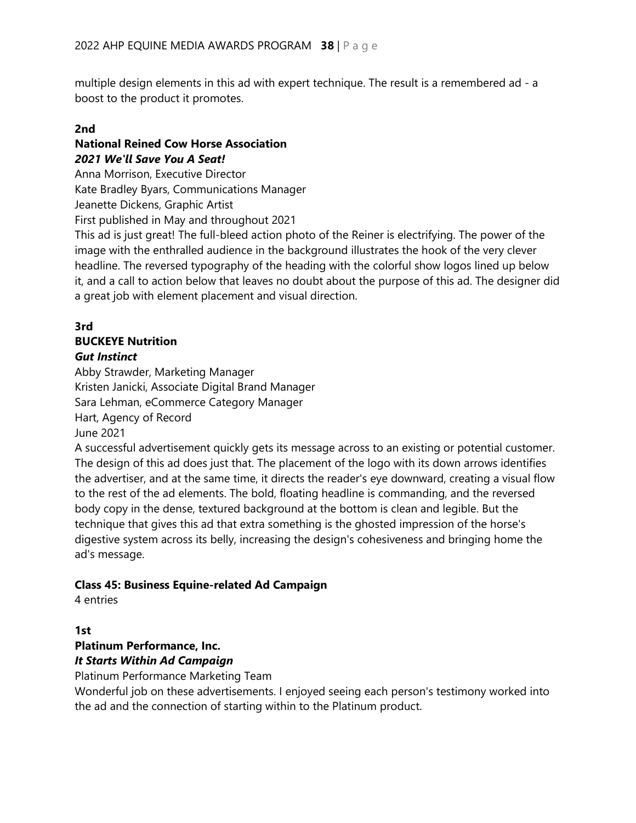multiple design elements in this ad with expert technique. The result is a remembered ad - a boost to the product it promotes.

#### **2nd**

# **National Reined Cow Horse Association** *2021 We'll Save You A Seat!*

Anna Morrison, Executive Director

Kate Bradley Byars, Communications Manager

Jeanette Dickens, Graphic Artist

First published in May and throughout 2021

This ad is just great! The full-bleed action photo of the Reiner is electrifying. The power of the image with the enthralled audience in the background illustrates the hook of the very clever headline. The reversed typography of the heading with the colorful show logos lined up below it, and a call to action below that leaves no doubt about the purpose of this ad. The designer did a great job with element placement and visual direction.

### **3rd**

### **BUCKEYE Nutrition**

#### *Gut Instinct*

Abby Strawder, Marketing Manager Kristen Janicki, Associate Digital Brand Manager Sara Lehman, eCommerce Category Manager Hart, Agency of Record June 2021

A successful advertisement quickly gets its message across to an existing or potential customer. The design of this ad does just that. The placement of the logo with its down arrows identifies the advertiser, and at the same time, it directs the reader's eye downward, creating a visual flow to the rest of the ad elements. The bold, floating headline is commanding, and the reversed body copy in the dense, textured background at the bottom is clean and legible. But the technique that gives this ad that extra something is the ghosted impression of the horse's digestive system across its belly, increasing the design's cohesiveness and bringing home the ad's message.

#### **Class 45: Business Equine-related Ad Campaign**

4 entries

# **1st**

### **Platinum Performance, Inc.** *It Starts Within Ad Campaign*

Platinum Performance Marketing Team

Wonderful job on these advertisements. I enjoyed seeing each person's testimony worked into the ad and the connection of starting within to the Platinum product.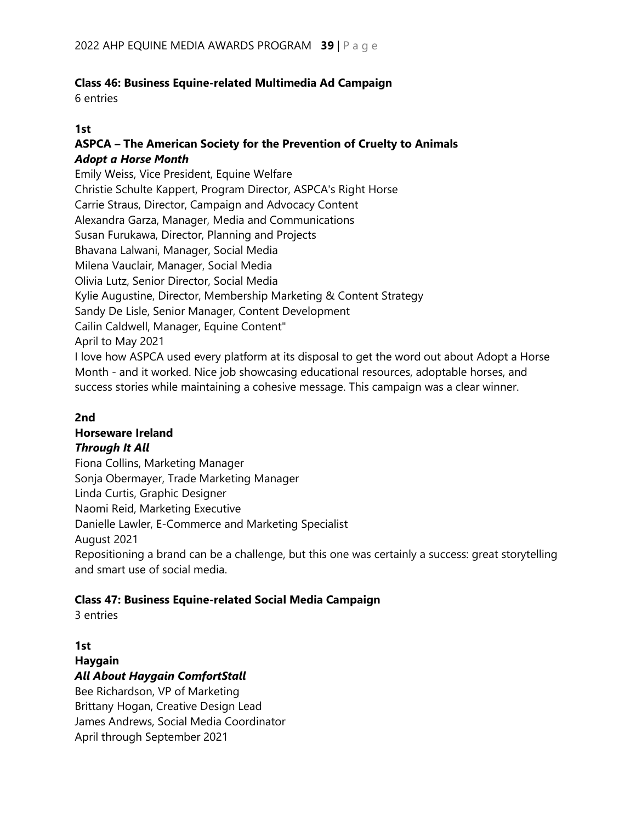# **Class 46: Business Equine-related Multimedia Ad Campaign**

6 entries

#### **1st**

### **ASPCA – The American Society for the Prevention of Cruelty to Animals** *Adopt a Horse Month*

Emily Weiss, Vice President, Equine Welfare Christie Schulte Kappert, Program Director, ASPCA's Right Horse Carrie Straus, Director, Campaign and Advocacy Content Alexandra Garza, Manager, Media and Communications Susan Furukawa, Director, Planning and Projects Bhavana Lalwani, Manager, Social Media Milena Vauclair, Manager, Social Media Olivia Lutz, Senior Director, Social Media Kylie Augustine, Director, Membership Marketing & Content Strategy Sandy De Lisle, Senior Manager, Content Development Cailin Caldwell, Manager, Equine Content" April to May 2021 I love how ASPCA used every platform at its disposal to get the word out about Adopt a Horse Month - and it worked. Nice job showcasing educational resources, adoptable horses, and success stories while maintaining a cohesive message. This campaign was a clear winner.

#### **2nd**

# **Horseware Ireland**

#### *Through It All*

Fiona Collins, Marketing Manager Sonja Obermayer, Trade Marketing Manager Linda Curtis, Graphic Designer Naomi Reid, Marketing Executive Danielle Lawler, E-Commerce and Marketing Specialist August 2021 Repositioning a brand can be a challenge, but this one was certainly a success: great storytelling and smart use of social media.

#### **Class 47: Business Equine-related Social Media Campaign**

3 entries

# **1st**

# **Haygain** *All About Haygain ComfortStall*

Bee Richardson, VP of Marketing Brittany Hogan, Creative Design Lead James Andrews, Social Media Coordinator April through September 2021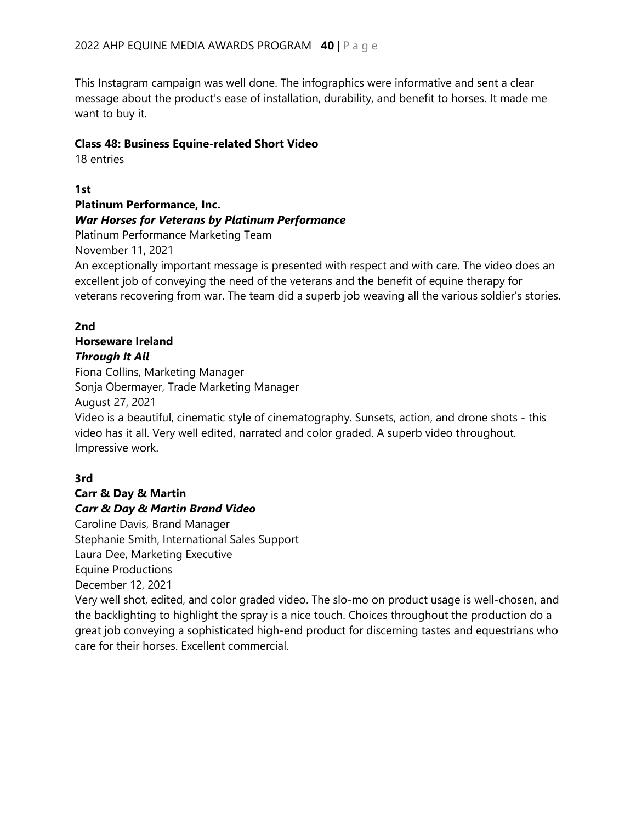This Instagram campaign was well done. The infographics were informative and sent a clear message about the product's ease of installation, durability, and benefit to horses. It made me want to buy it.

#### **Class 48: Business Equine-related Short Video**

18 entries

**1st**

# **Platinum Performance, Inc.** *War Horses for Veterans by Platinum Performance*

Platinum Performance Marketing Team

November 11, 2021

An exceptionally important message is presented with respect and with care. The video does an excellent job of conveying the need of the veterans and the benefit of equine therapy for veterans recovering from war. The team did a superb job weaving all the various soldier's stories.

#### **2nd**

# **Horseware Ireland** *Through It All*

Fiona Collins, Marketing Manager Sonja Obermayer, Trade Marketing Manager August 27, 2021

Video is a beautiful, cinematic style of cinematography. Sunsets, action, and drone shots - this video has it all. Very well edited, narrated and color graded. A superb video throughout. Impressive work.

# **3rd**

#### **Carr & Day & Martin**  *Carr & Day & Martin Brand Video*

Caroline Davis, Brand Manager Stephanie Smith, International Sales Support Laura Dee, Marketing Executive Equine Productions December 12, 2021

Very well shot, edited, and color graded video. The slo-mo on product usage is well-chosen, and the backlighting to highlight the spray is a nice touch. Choices throughout the production do a great job conveying a sophisticated high-end product for discerning tastes and equestrians who care for their horses. Excellent commercial.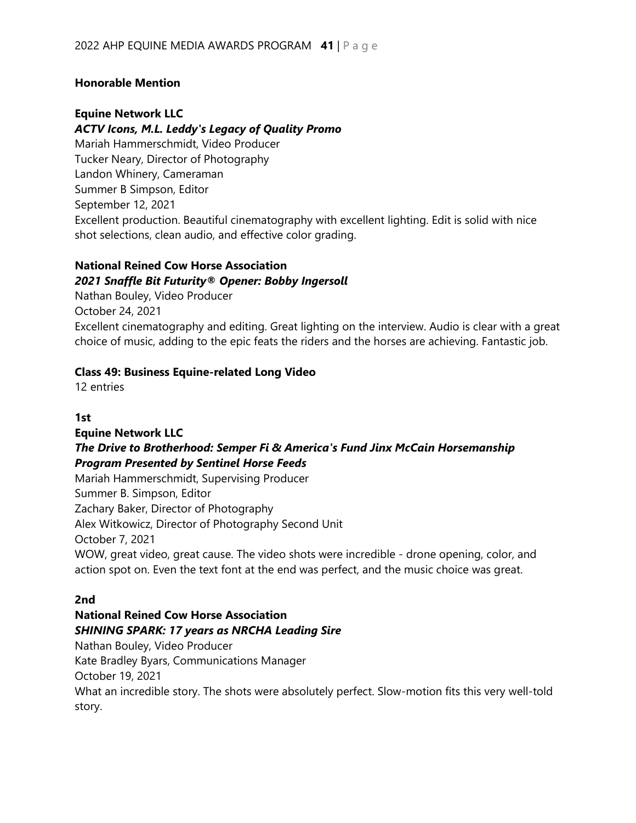#### **Honorable Mention**

### **Equine Network LLC**

#### *ACTV Icons, M.L. Leddy's Legacy of Quality Promo*

Mariah Hammerschmidt, Video Producer Tucker Neary, Director of Photography Landon Whinery, Cameraman Summer B Simpson, Editor September 12, 2021 Excellent production. Beautiful cinematography with excellent lighting. Edit is solid with nice shot selections, clean audio, and effective color grading.

#### **National Reined Cow Horse Association**

#### *2021 Snaffle Bit Futurity® Opener: Bobby Ingersoll*

Nathan Bouley, Video Producer October 24, 2021 Excellent cinematography and editing. Great lighting on the interview. Audio is clear with a great choice of music, adding to the epic feats the riders and the horses are achieving. Fantastic job.

#### **Class 49: Business Equine-related Long Video**

12 entries

#### **1st**

#### **Equine Network LLC** *The Drive to Brotherhood: Semper Fi & America's Fund Jinx McCain Horsemanship Program Presented by Sentinel Horse Feeds*

Mariah Hammerschmidt, Supervising Producer Summer B. Simpson, Editor Zachary Baker, Director of Photography Alex Witkowicz, Director of Photography Second Unit October 7, 2021 WOW, great video, great cause. The video shots were incredible - drone opening, color, and action spot on. Even the text font at the end was perfect, and the music choice was great.

#### **2nd**

# **National Reined Cow Horse Association** *SHINING SPARK: 17 years as NRCHA Leading Sire*

Nathan Bouley, Video Producer Kate Bradley Byars, Communications Manager October 19, 2021 What an incredible story. The shots were absolutely perfect. Slow-motion fits this very well-told story.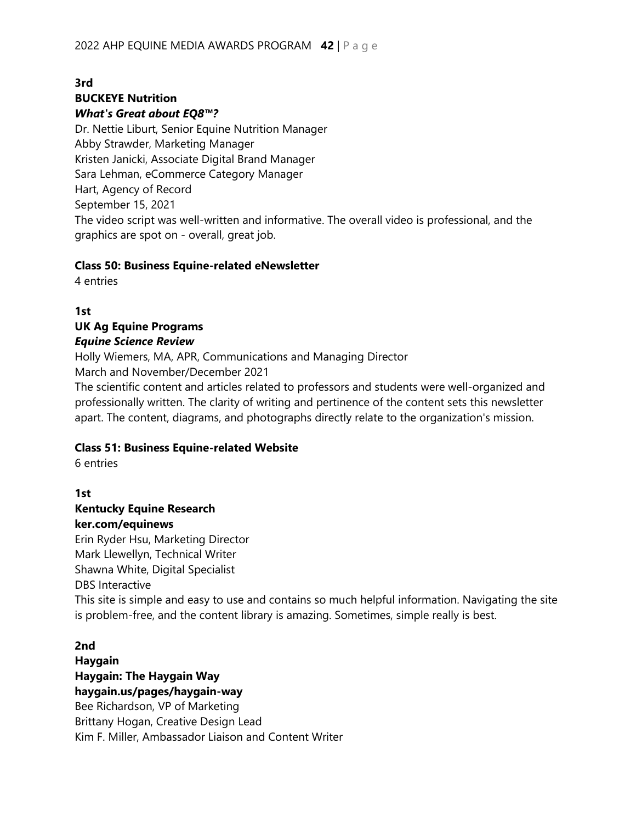# **3rd BUCKEYE Nutrition**

#### *What's Great about EQ8™?*

Dr. Nettie Liburt, Senior Equine Nutrition Manager Abby Strawder, Marketing Manager Kristen Janicki, Associate Digital Brand Manager Sara Lehman, eCommerce Category Manager Hart, Agency of Record September 15, 2021 The video script was well-written and informative. The overall video is professional, and the graphics are spot on - overall, great job.

#### **Class 50: Business Equine-related eNewsletter**

4 entries

# **1st**

#### **UK Ag Equine Programs** *Equine Science Review*

Holly Wiemers, MA, APR, Communications and Managing Director March and November/December 2021

The scientific content and articles related to professors and students were well-organized and professionally written. The clarity of writing and pertinence of the content sets this newsletter apart. The content, diagrams, and photographs directly relate to the organization's mission.

#### **Class 51: Business Equine-related Website**

6 entries

### **1st Kentucky Equine Research ker.com/equinews**

Erin Ryder Hsu, Marketing Director Mark Llewellyn, Technical Writer Shawna White, Digital Specialist DBS Interactive This site is simple and easy to use and contains so much helpful information. Navigating the site is problem-free, and the content library is amazing. Sometimes, simple really is best.

#### **2nd**

# **Haygain Haygain: The Haygain Way haygain.us/pages/haygain-way**

Bee Richardson, VP of Marketing Brittany Hogan, Creative Design Lead Kim F. Miller, Ambassador Liaison and Content Writer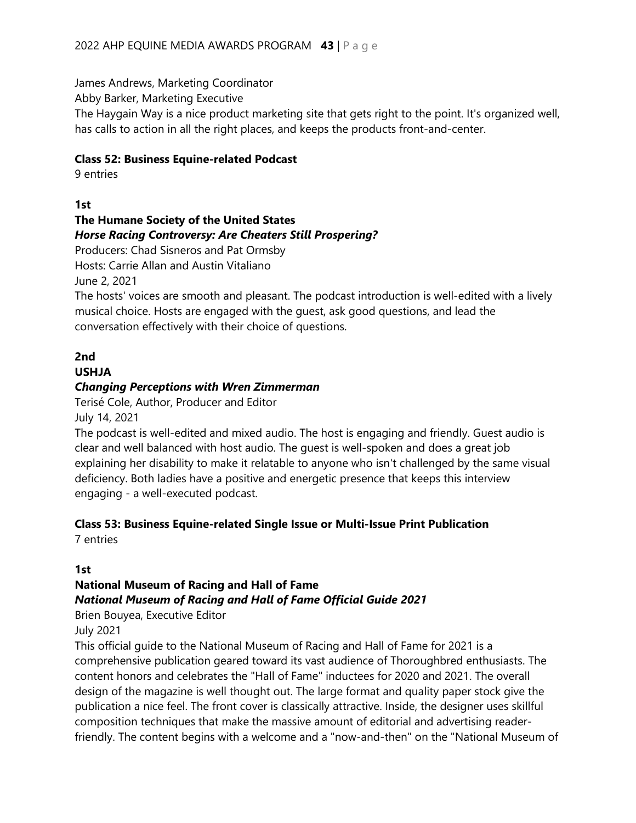James Andrews, Marketing Coordinator

Abby Barker, Marketing Executive

The Haygain Way is a nice product marketing site that gets right to the point. It's organized well, has calls to action in all the right places, and keeps the products front-and-center.

#### **Class 52: Business Equine-related Podcast**

9 entries

### **1st**

### **The Humane Society of the United States** *Horse Racing Controversy: Are Cheaters Still Prospering?*

Producers: Chad Sisneros and Pat Ormsby

Hosts: Carrie Allan and Austin Vitaliano

June 2, 2021

The hosts' voices are smooth and pleasant. The podcast introduction is well-edited with a lively musical choice. Hosts are engaged with the guest, ask good questions, and lead the conversation effectively with their choice of questions.

# **2nd**

# **USHJA**

#### *Changing Perceptions with Wren Zimmerman*

Terisé Cole, Author, Producer and Editor

July 14, 2021

The podcast is well-edited and mixed audio. The host is engaging and friendly. Guest audio is clear and well balanced with host audio. The guest is well-spoken and does a great job explaining her disability to make it relatable to anyone who isn't challenged by the same visual deficiency. Both ladies have a positive and energetic presence that keeps this interview engaging - a well-executed podcast.

# **Class 53: Business Equine-related Single Issue or Multi-Issue Print Publication**

7 entries

#### **1st**

# **National Museum of Racing and Hall of Fame**

#### *National Museum of Racing and Hall of Fame Official Guide 2021*

Brien Bouyea, Executive Editor

July 2021

This official guide to the National Museum of Racing and Hall of Fame for 2021 is a comprehensive publication geared toward its vast audience of Thoroughbred enthusiasts. The content honors and celebrates the "Hall of Fame" inductees for 2020 and 2021. The overall design of the magazine is well thought out. The large format and quality paper stock give the publication a nice feel. The front cover is classically attractive. Inside, the designer uses skillful composition techniques that make the massive amount of editorial and advertising readerfriendly. The content begins with a welcome and a "now-and-then" on the "National Museum of